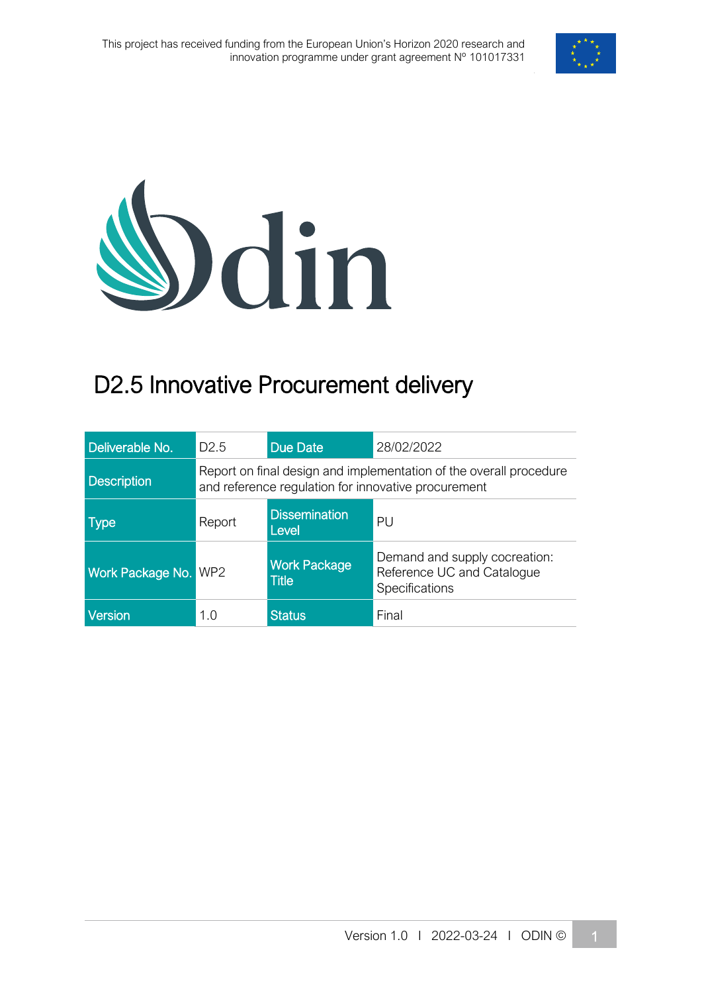



# D2.5 Innovative Procurement delivery

| Deliverable No.      | D <sub>2.5</sub>                                                                                                          | <b>Due Date</b>                     | 28/02/2022                                                                    |
|----------------------|---------------------------------------------------------------------------------------------------------------------------|-------------------------------------|-------------------------------------------------------------------------------|
| <b>Description</b>   | Report on final design and implementation of the overall procedure<br>and reference regulation for innovative procurement |                                     |                                                                               |
| Type                 | Report                                                                                                                    | <b>Dissemination</b><br>Level       | PU                                                                            |
| Work Package No. WP2 |                                                                                                                           | <b>Work Package</b><br><b>Title</b> | Demand and supply cocreation:<br>Reference UC and Catalogue<br>Specifications |
| <b>Version</b>       | 1.0                                                                                                                       | <b>Status</b>                       | Final                                                                         |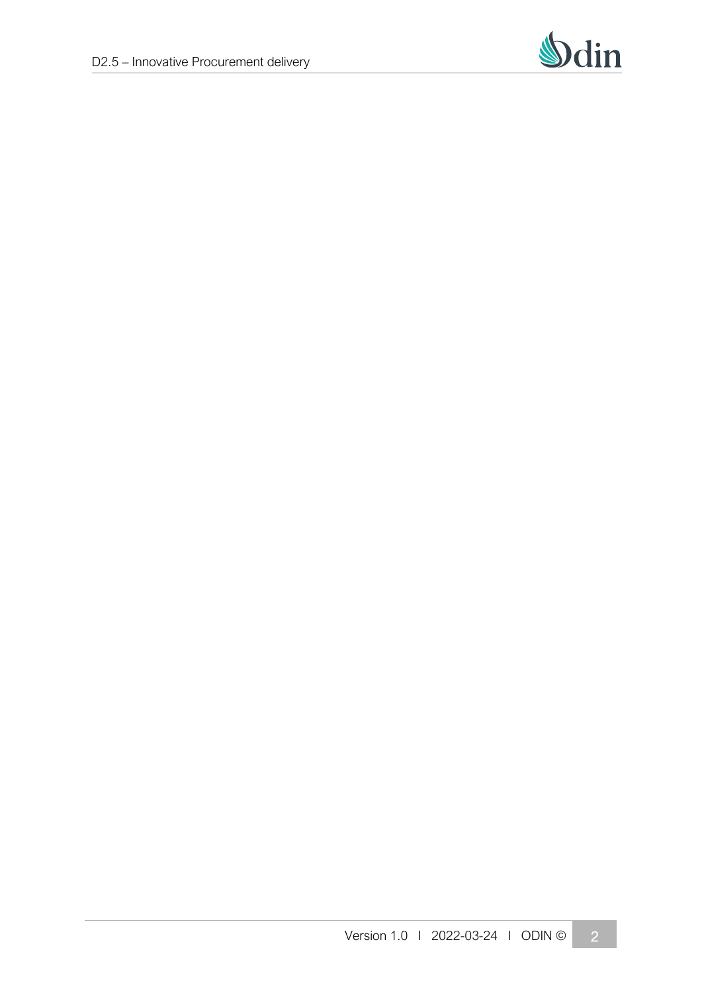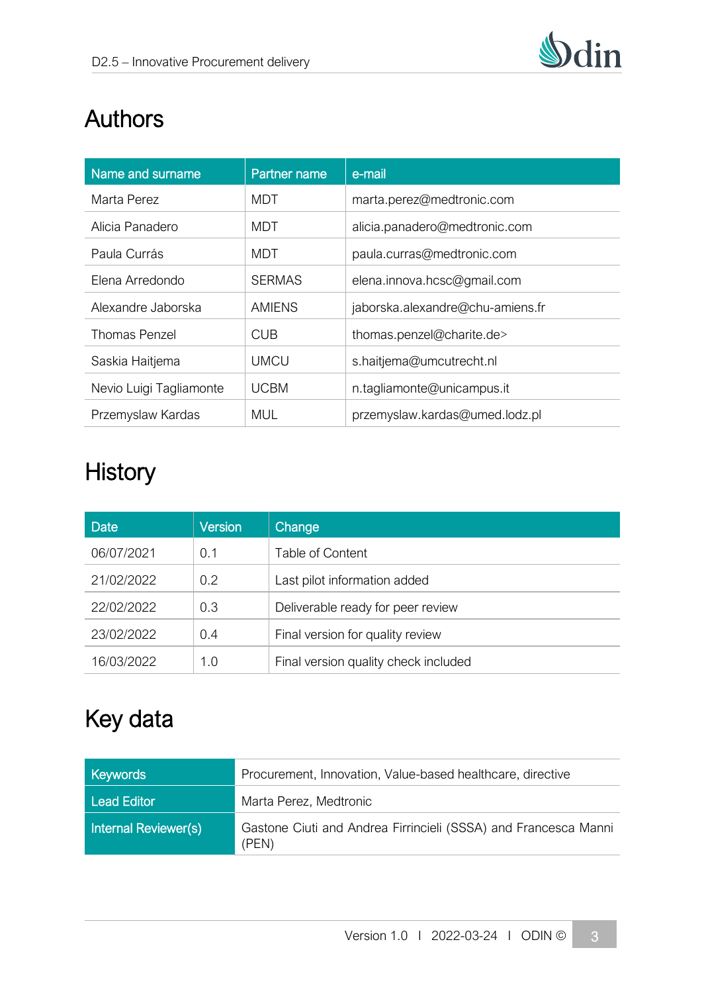

# Authors

| Name and surname        | Partner name  | e-mail                           |
|-------------------------|---------------|----------------------------------|
| Marta Perez             | <b>MDT</b>    | marta.perez@medtronic.com        |
| Alicia Panadero         | <b>MDT</b>    | alicia.panadero@medtronic.com    |
| Paula Currás            | <b>MDT</b>    | paula.curras@medtronic.com       |
| Elena Arredondo         | <b>SERMAS</b> | elena.innova.hcsc@gmail.com      |
| Alexandre Jaborska      | <b>AMIENS</b> | jaborska.alexandre@chu-amiens.fr |
| <b>Thomas Penzel</b>    | <b>CUB</b>    | thomas.penzel@charite.de>        |
| Saskia Haitjema         | <b>UMCU</b>   | s.haitjema@umcutrecht.nl         |
| Nevio Luigi Tagliamonte | <b>UCBM</b>   | n.tagliamonte@unicampus.it       |
| Przemyslaw Kardas       | MUL           | przemyslaw.kardas@umed.lodz.pl   |

# **History**

| <b>Date</b> | <b>Version</b> | Change                               |
|-------------|----------------|--------------------------------------|
| 06/07/2021  | 0.1            | Table of Content                     |
| 21/02/2022  | 0.2            | Last pilot information added         |
| 22/02/2022  | 0.3            | Deliverable ready for peer review    |
| 23/02/2022  | 0.4            | Final version for quality review     |
| 16/03/2022  | 1.0            | Final version quality check included |

# Key data

| Keywords             | Procurement, Innovation, Value-based healthcare, directive               |
|----------------------|--------------------------------------------------------------------------|
| <b>Lead Editor</b>   | Marta Perez, Medtronic                                                   |
| Internal Reviewer(s) | Gastone Ciuti and Andrea Firrincieli (SSSA) and Francesca Manni<br>(PEN) |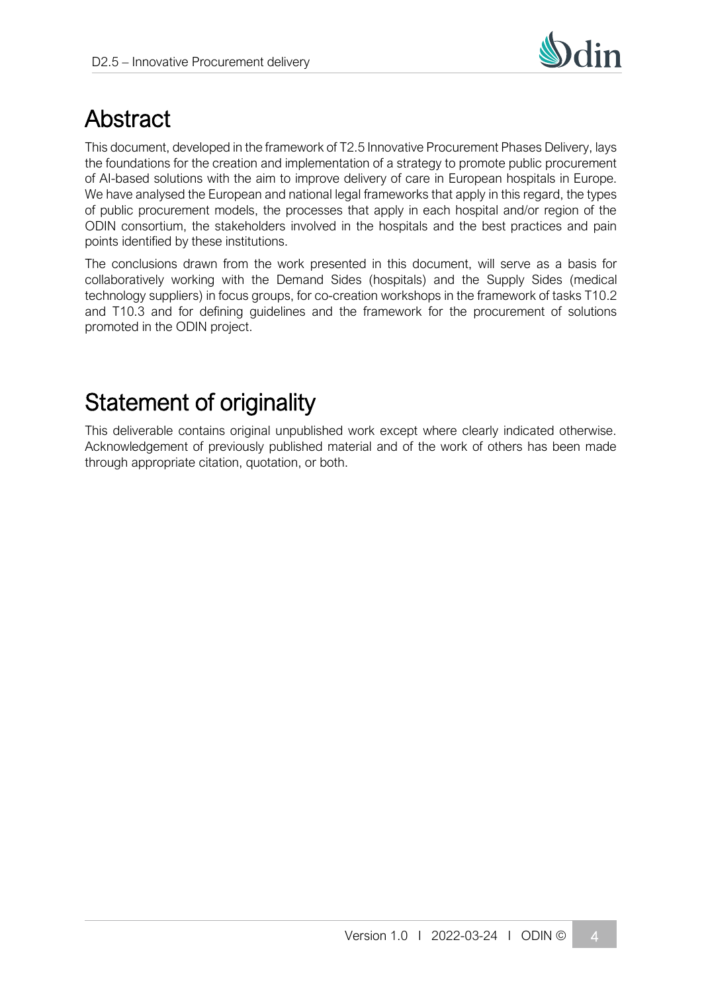

# Abstract

This document, developed in the framework of T2.5 Innovative Procurement Phases Delivery, lays the foundations for the creation and implementation of a strategy to promote public procurement of AI-based solutions with the aim to improve delivery of care in European hospitals in Europe. We have analysed the European and national legal frameworks that apply in this regard, the types of public procurement models, the processes that apply in each hospital and/or region of the ODIN consortium, the stakeholders involved in the hospitals and the best practices and pain points identified by these institutions.

The conclusions drawn from the work presented in this document, will serve as a basis for collaboratively working with the Demand Sides (hospitals) and the Supply Sides (medical technology suppliers) in focus groups, for co-creation workshops in the framework of tasks T10.2 and T10.3 and for defining guidelines and the framework for the procurement of solutions promoted in the ODIN project.

## Statement of originality

This deliverable contains original unpublished work except where clearly indicated otherwise. Acknowledgement of previously published material and of the work of others has been made through appropriate citation, quotation, or both.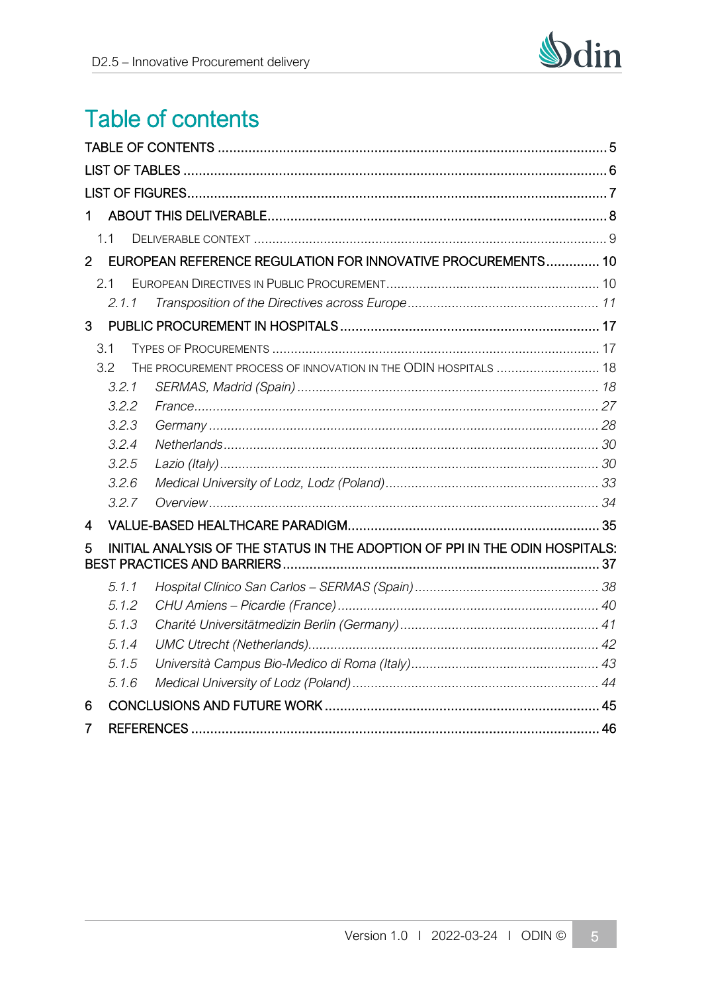

# <span id="page-4-0"></span>Table of contents

| 1.             |       |                                                                              |  |
|----------------|-------|------------------------------------------------------------------------------|--|
|                | 1.1   |                                                                              |  |
| $\overline{2}$ |       | EUROPEAN REFERENCE REGULATION FOR INNOVATIVE PROCUREMENTS 10                 |  |
|                | 2.1   |                                                                              |  |
|                | 2.1.1 |                                                                              |  |
| 3              |       |                                                                              |  |
|                |       |                                                                              |  |
| 3.1            |       |                                                                              |  |
|                | 3.2   | THE PROCUREMENT PROCESS OF INNOVATION IN THE ODIN HOSPITALS  18              |  |
|                | 3.2.1 |                                                                              |  |
|                | 3.2.2 |                                                                              |  |
|                | 3.2.3 |                                                                              |  |
|                | 3.2.4 |                                                                              |  |
|                | 3.2.5 |                                                                              |  |
|                | 3.2.6 |                                                                              |  |
|                | 3.2.7 |                                                                              |  |
| 4              |       |                                                                              |  |
| 5              |       | INITIAL ANALYSIS OF THE STATUS IN THE ADOPTION OF PPI IN THE ODIN HOSPITALS: |  |
|                |       |                                                                              |  |
|                | 5.1.1 |                                                                              |  |
|                | 5.1.2 |                                                                              |  |
|                | 5.1.3 |                                                                              |  |
|                | 5.1.4 |                                                                              |  |
|                | 5.1.5 |                                                                              |  |
|                | 5.1.6 |                                                                              |  |
| 6              |       |                                                                              |  |
| 7              |       |                                                                              |  |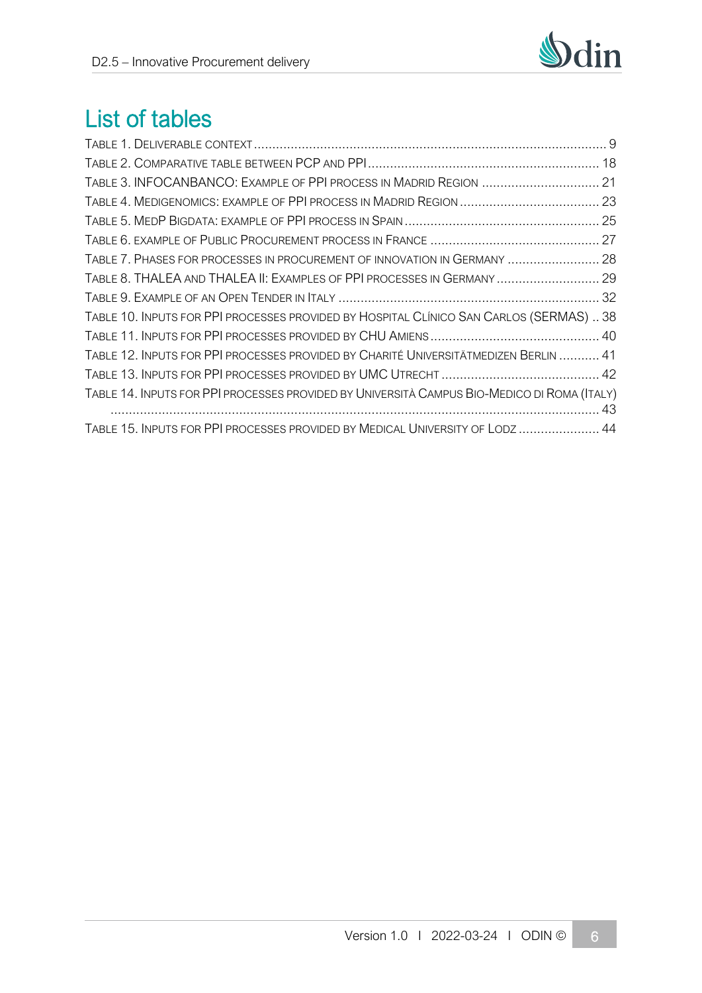

# <span id="page-5-0"></span>List of tables

| TABLE 7. PHASES FOR PROCESSES IN PROCUREMENT OF INNOVATION IN GERMANY  28                   |  |
|---------------------------------------------------------------------------------------------|--|
| TABLE 8. THALEA AND THALEA II: EXAMPLES OF PPI PROCESSES IN GERMANY  29                     |  |
|                                                                                             |  |
| TABLE 10. INPUTS FOR PPI PROCESSES PROVIDED BY HOSPITAL CLÍNICO SAN CARLOS (SERMAS) 38      |  |
|                                                                                             |  |
| TABLE 12. INPUTS FOR PPI PROCESSES PROVIDED BY CHARITÉ UNIVERSITÄTMEDIZEN BERLIN  41        |  |
|                                                                                             |  |
| TABLE 14. INPUTS FOR PPI PROCESSES PROVIDED BY UNIVERSITÀ CAMPUS BIO-MEDICO DI ROMA (ITALY) |  |
| TABLE 15. INPUTS FOR PPI PROCESSES PROVIDED BY MEDICAL UNIVERSITY OF LODZ  44               |  |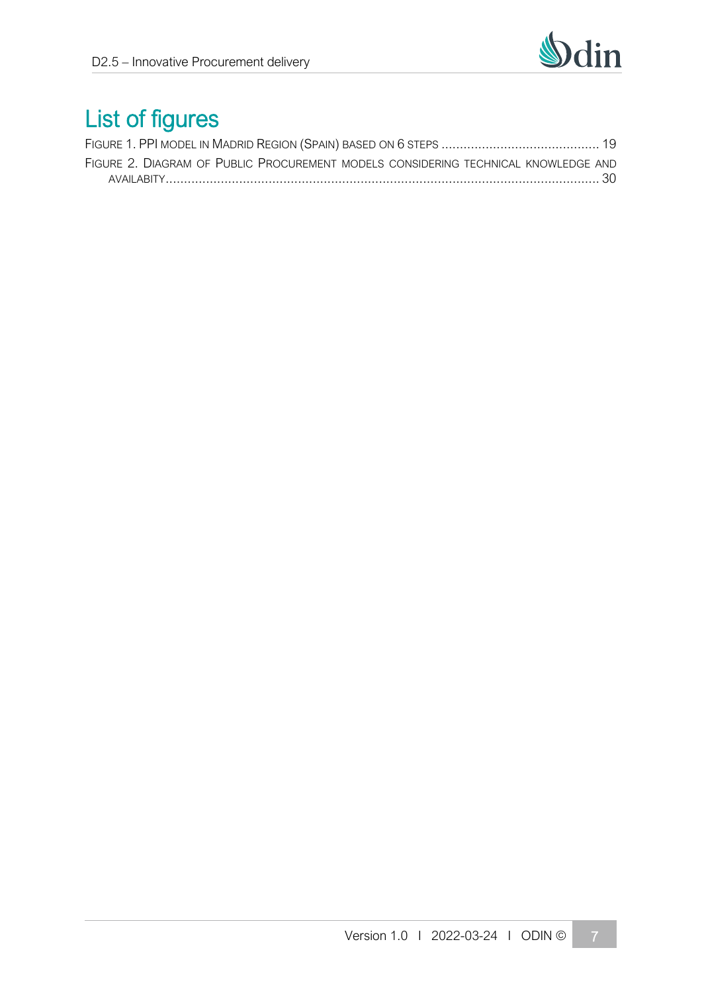

# <span id="page-6-0"></span>List of figures

| FIGURE 2. DIAGRAM OF PUBLIC PROCUREMENT MODELS CONSIDERING TECHNICAL KNOWLEDGE AND |  |
|------------------------------------------------------------------------------------|--|
|                                                                                    |  |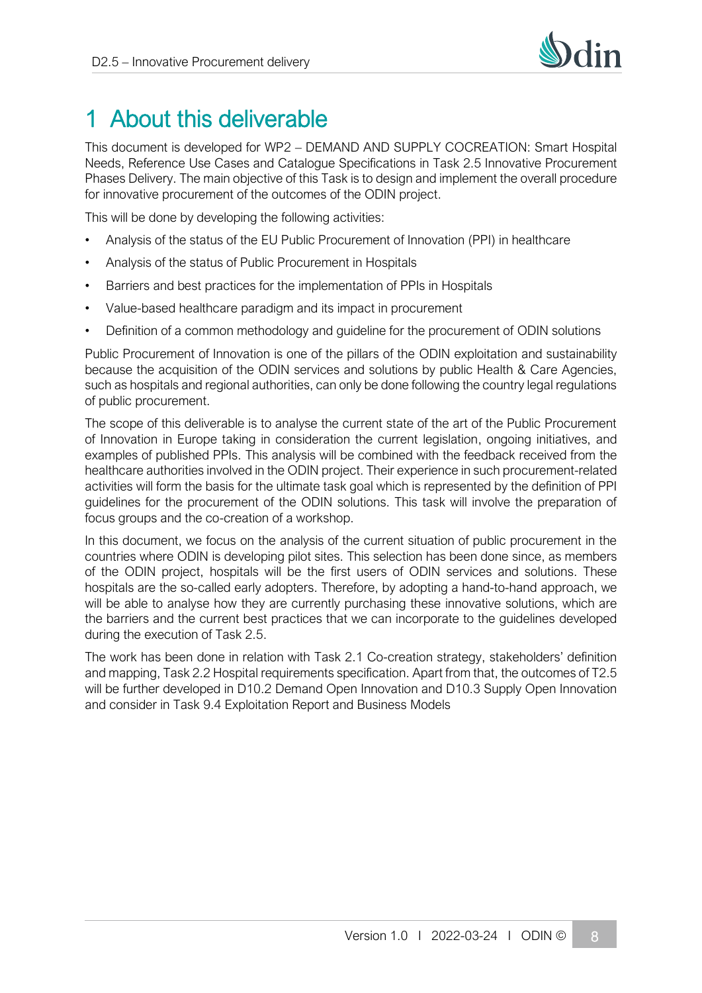

# <span id="page-7-0"></span>1 About this deliverable

This document is developed for WP2 – DEMAND AND SUPPLY COCREATION: Smart Hospital Needs, Reference Use Cases and Catalogue Specifications in Task 2.5 Innovative Procurement Phases Delivery. The main objective of this Task is to design and implement the overall procedure for innovative procurement of the outcomes of the ODIN project.

This will be done by developing the following activities:

- Analysis of the status of the EU Public Procurement of Innovation (PPI) in healthcare
- Analysis of the status of Public Procurement in Hospitals
- Barriers and best practices for the implementation of PPIs in Hospitals
- Value-based healthcare paradigm and its impact in procurement
- Definition of a common methodology and guideline for the procurement of ODIN solutions

Public Procurement of Innovation is one of the pillars of the ODIN exploitation and sustainability because the acquisition of the ODIN services and solutions by public Health & Care Agencies, such as hospitals and regional authorities, can only be done following the country legal regulations of public procurement.

The scope of this deliverable is to analyse the current state of the art of the Public Procurement of Innovation in Europe taking in consideration the current legislation, ongoing initiatives, and examples of published PPIs. This analysis will be combined with the feedback received from the healthcare authorities involved in the ODIN project. Their experience in such procurement-related activities will form the basis for the ultimate task goal which is represented by the definition of PPI guidelines for the procurement of the ODIN solutions. This task will involve the preparation of focus groups and the co-creation of a workshop.

In this document, we focus on the analysis of the current situation of public procurement in the countries where ODIN is developing pilot sites. This selection has been done since, as members of the ODIN project, hospitals will be the first users of ODIN services and solutions. These hospitals are the so-called early adopters. Therefore, by adopting a hand-to-hand approach, we will be able to analyse how they are currently purchasing these innovative solutions, which are the barriers and the current best practices that we can incorporate to the guidelines developed during the execution of Task 2.5.

The work has been done in relation with Task 2.1 Co-creation strategy, stakeholders' definition and mapping, Task 2.2 Hospital requirements specification. Apart from that, the outcomes of T2.5 will be further developed in D10.2 Demand Open Innovation and D10.3 Supply Open Innovation and consider in Task 9.4 Exploitation Report and Business Models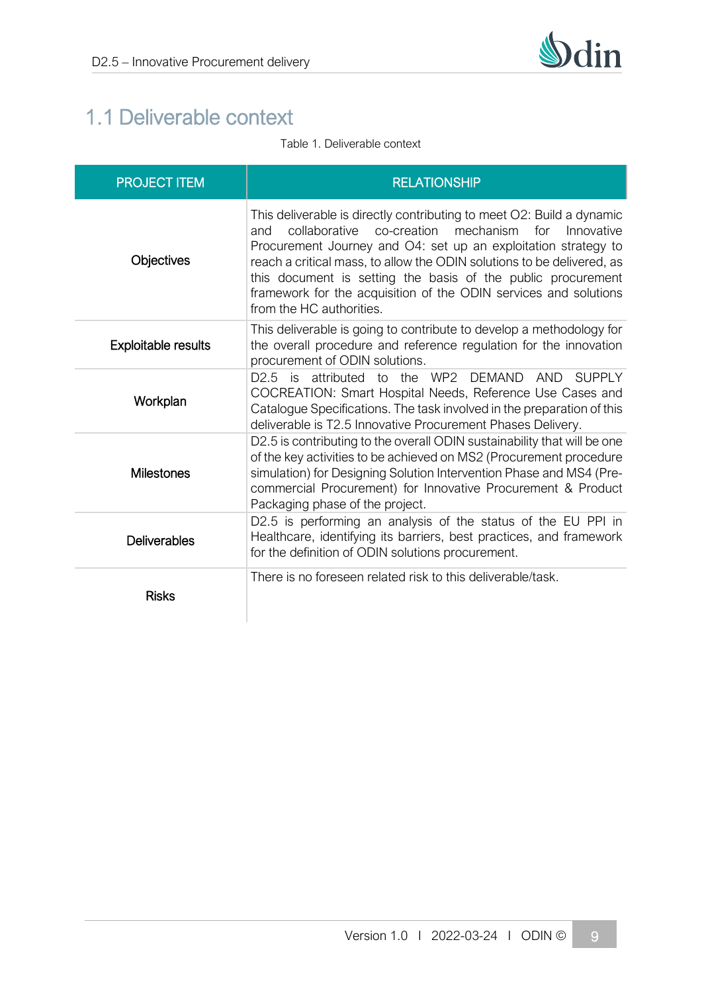

## <span id="page-8-0"></span>1.1 Deliverable context

#### Table 1. Deliverable context

| <b>PROJECT ITEM</b>        | <b>RELATIONSHIP</b>                                                                                                                                                                                                                                                                                                                                                                                                                                        |
|----------------------------|------------------------------------------------------------------------------------------------------------------------------------------------------------------------------------------------------------------------------------------------------------------------------------------------------------------------------------------------------------------------------------------------------------------------------------------------------------|
| <b>Objectives</b>          | This deliverable is directly contributing to meet O2: Build a dynamic<br>co-creation<br>mechanism<br>collaborative<br>for<br>Innovative<br>and<br>Procurement Journey and O4: set up an exploitation strategy to<br>reach a critical mass, to allow the ODIN solutions to be delivered, as<br>this document is setting the basis of the public procurement<br>framework for the acquisition of the ODIN services and solutions<br>from the HC authorities. |
| <b>Exploitable results</b> | This deliverable is going to contribute to develop a methodology for<br>the overall procedure and reference regulation for the innovation<br>procurement of ODIN solutions.                                                                                                                                                                                                                                                                                |
| Workplan                   | $D2.5$ is<br>attributed to the WP2 DEMAND<br>AND<br><b>SUPPLY</b><br>COCREATION: Smart Hospital Needs, Reference Use Cases and<br>Catalogue Specifications. The task involved in the preparation of this<br>deliverable is T2.5 Innovative Procurement Phases Delivery.                                                                                                                                                                                    |
| <b>Milestones</b>          | D2.5 is contributing to the overall ODIN sustainability that will be one<br>of the key activities to be achieved on MS2 (Procurement procedure<br>simulation) for Designing Solution Intervention Phase and MS4 (Pre-<br>commercial Procurement) for Innovative Procurement & Product<br>Packaging phase of the project.                                                                                                                                   |
| <b>Deliverables</b>        | D2.5 is performing an analysis of the status of the EU PPI in<br>Healthcare, identifying its barriers, best practices, and framework<br>for the definition of ODIN solutions procurement.                                                                                                                                                                                                                                                                  |
| <b>Risks</b>               | There is no foreseen related risk to this deliverable/task.                                                                                                                                                                                                                                                                                                                                                                                                |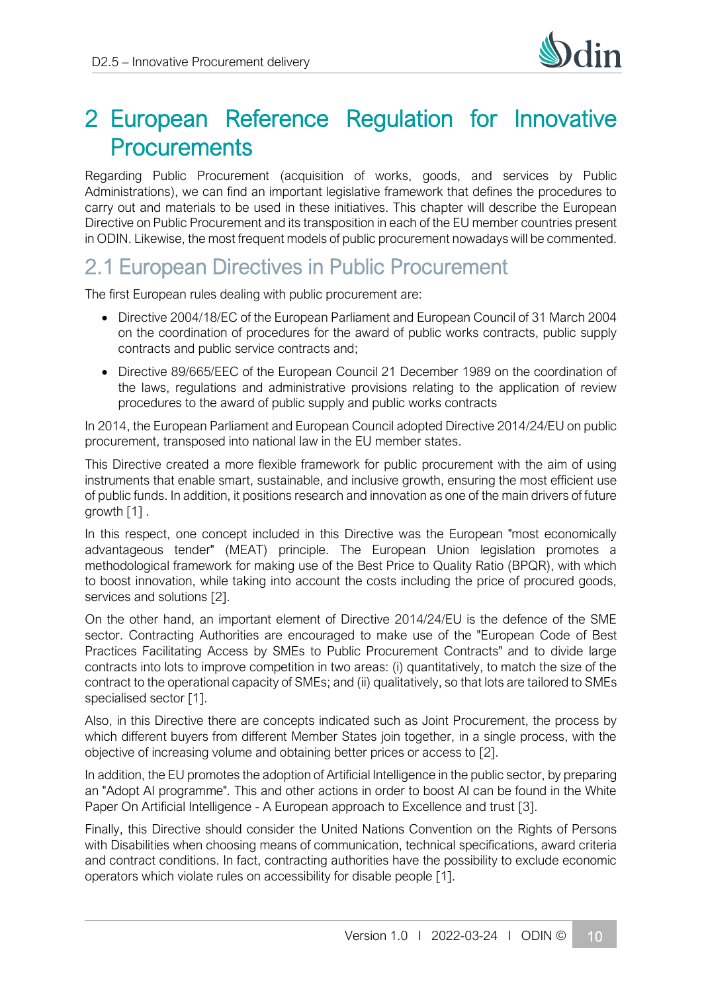

## <span id="page-9-0"></span>2 European Reference Regulation for Innovative **Procurements**

Regarding Public Procurement (acquisition of works, goods, and services by Public Administrations), we can find an important legislative framework that defines the procedures to carry out and materials to be used in these initiatives. This chapter will describe the European Directive on Public Procurement and its transposition in each of the EU member countries present in ODIN. Likewise, the most frequent models of public procurement nowadays will be commented.

## <span id="page-9-1"></span>2.1 European Directives in Public Procurement

The first European rules dealing with public procurement are:

- Directive 2004/18/EC of the European Parliament and European Council of 31 March 2004 on the coordination of procedures for the award of public works contracts, public supply contracts and public service contracts and;
- Directive 89/665/EEC of the European Council 21 December 1989 on the coordination of the laws, regulations and administrative provisions relating to the application of review procedures to the award of public supply and public works contracts

In 2014, the European Parliament and European Council adopted Directive 2014/24/EU on public procurement, transposed into national law in the EU member states.

This Directive created a more flexible framework for public procurement with the aim of using instruments that enable smart, sustainable, and inclusive growth, ensuring the most efficient use of public funds. In addition, it positions research and innovation as one of the main drivers of future growth [1] .

In this respect, one concept included in this Directive was the European "most economically advantageous tender" (MEAT) principle. The European Union legislation promotes a methodological framework for making use of the Best Price to Quality Ratio (BPQR), with which to boost innovation, while taking into account the costs including the price of procured goods, services and solutions [2].

On the other hand, an important element of Directive 2014/24/EU is the defence of the SME sector. Contracting Authorities are encouraged to make use of the "European Code of Best Practices Facilitating Access by SMEs to Public Procurement Contracts" and to divide large contracts into lots to improve competition in two areas: (i) quantitatively, to match the size of the contract to the operational capacity of SMEs; and (ii) qualitatively, so that lots are tailored to SMEs specialised sector [1].

Also, in this Directive there are concepts indicated such as Joint Procurement, the process by which different buyers from different Member States join together, in a single process, with the objective of increasing volume and obtaining better prices or access to [2].

In addition, the EU promotes the adoption of Artificial Intelligence in the public sector, by preparing an "Adopt AI programme". This and other actions in order to boost AI can be found in the White Paper On Artificial Intelligence - A European approach to Excellence and trust [3].

Finally, this Directive should consider the United Nations Convention on the Rights of Persons with Disabilities when choosing means of communication, technical specifications, award criteria and contract conditions. In fact, contracting authorities have the possibility to exclude economic operators which violate rules on accessibility for disable people [1].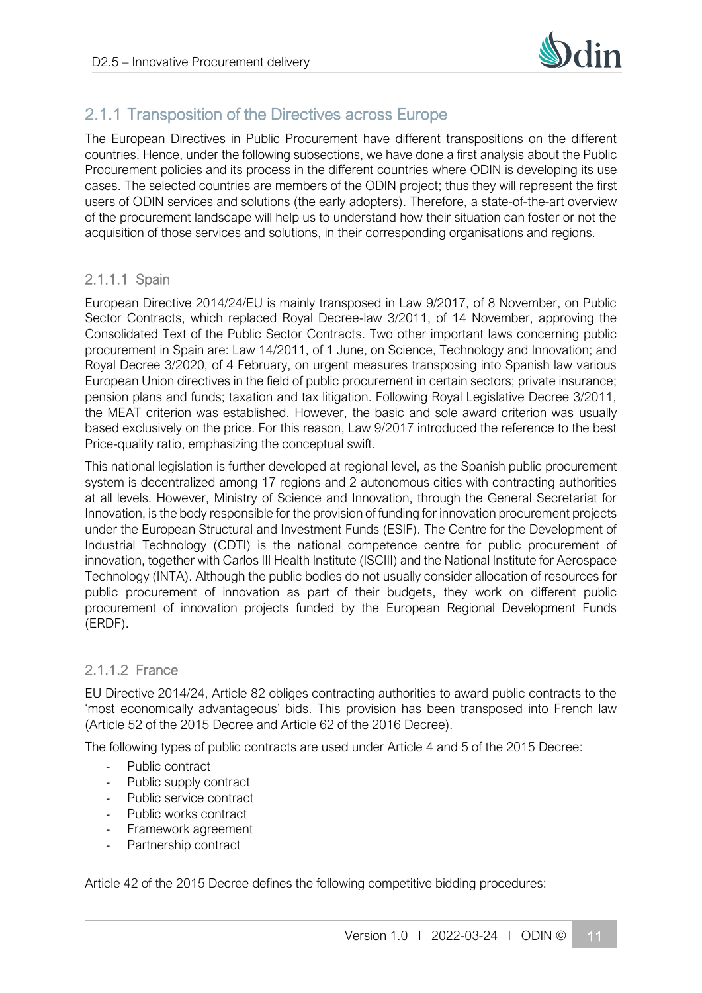

### <span id="page-10-0"></span>2.1.1 Transposition of the Directives across Europe

The European Directives in Public Procurement have different transpositions on the different countries. Hence, under the following subsections, we have done a first analysis about the Public Procurement policies and its process in the different countries where ODIN is developing its use cases. The selected countries are members of the ODIN project; thus they will represent the first users of ODIN services and solutions (the early adopters). Therefore, a state-of-the-art overview of the procurement landscape will help us to understand how their situation can foster or not the acquisition of those services and solutions, in their corresponding organisations and regions.

#### 2.1.1.1 Spain

European Directive 2014/24/EU is mainly transposed in Law 9/2017, of 8 November, on Public Sector Contracts, which replaced Royal Decree-law 3/2011, of 14 November, approving the Consolidated Text of the Public Sector Contracts. Two other important laws concerning public procurement in Spain are: Law 14/2011, of 1 June, on Science, Technology and Innovation; and Royal Decree 3/2020, of 4 February, on urgent measures transposing into Spanish law various European Union directives in the field of public procurement in certain sectors; private insurance; pension plans and funds; taxation and tax litigation. Following Royal Legislative Decree 3/2011, the MEAT criterion was established. However, the basic and sole award criterion was usually based exclusively on the price. For this reason, Law 9/2017 introduced the reference to the best Price-quality ratio, emphasizing the conceptual swift.

This national legislation is further developed at regional level, as the Spanish public procurement system is decentralized among 17 regions and 2 autonomous cities with contracting authorities at all levels. However, Ministry of Science and Innovation, through the General Secretariat for Innovation, is the body responsible for the provision of funding for innovation procurement projects under the European Structural and Investment Funds (ESIF). The Centre for the Development of Industrial Technology (CDTI) is the national competence centre for public procurement of innovation, together with Carlos III Health Institute (ISCIII) and the National Institute for Aerospace Technology (INTA). Although the public bodies do not usually consider allocation of resources for public procurement of innovation as part of their budgets, they work on different public procurement of innovation projects funded by the European Regional Development Funds (ERDF).

#### 2.1.1.2 France

EU Directive 2014/24, Article 82 obliges contracting authorities to award public contracts to the 'most economically advantageous' bids. This provision has been transposed into French law (Article 52 of the 2015 Decree and Article 62 of the 2016 Decree).

The following types of public contracts are used under Article 4 and 5 of the 2015 Decree:

- Public contract
- Public supply contract
- Public service contract
- Public works contract
- Framework agreement
- Partnership contract

Article 42 of the 2015 Decree defines the following competitive bidding procedures: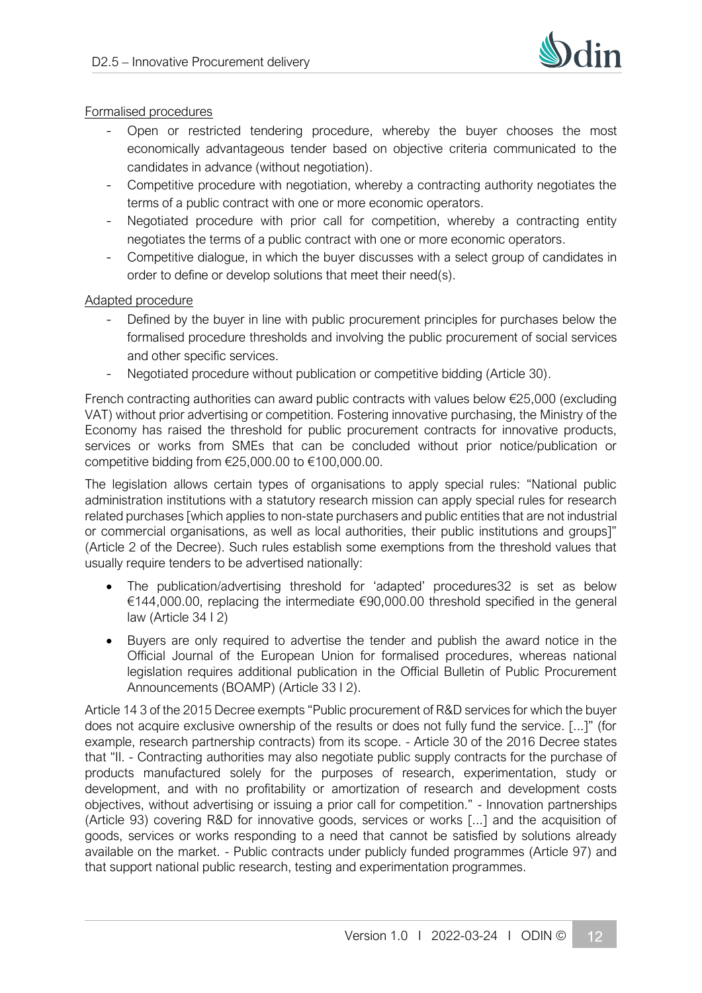

#### Formalised procedures

- Open or restricted tendering procedure, whereby the buyer chooses the most economically advantageous tender based on objective criteria communicated to the candidates in advance (without negotiation).
- Competitive procedure with negotiation, whereby a contracting authority negotiates the terms of a public contract with one or more economic operators.
- Negotiated procedure with prior call for competition, whereby a contracting entity negotiates the terms of a public contract with one or more economic operators.
- Competitive dialogue, in which the buyer discusses with a select group of candidates in order to define or develop solutions that meet their need(s).

#### Adapted procedure

- Defined by the buyer in line with public procurement principles for purchases below the formalised procedure thresholds and involving the public procurement of social services and other specific services.
- Negotiated procedure without publication or competitive bidding (Article 30).

French contracting authorities can award public contracts with values below €25,000 (excluding VAT) without prior advertising or competition. Fostering innovative purchasing, the Ministry of the Economy has raised the threshold for public procurement contracts for innovative products, services or works from SMEs that can be concluded without prior notice/publication or competitive bidding from  $\epsilon$ 25,000.00 to  $\epsilon$ 100,000.00.

The legislation allows certain types of organisations to apply special rules: "National public administration institutions with a statutory research mission can apply special rules for research related purchases [which applies to non-state purchasers and public entities that are not industrial or commercial organisations, as well as local authorities, their public institutions and groups]" (Article 2 of the Decree). Such rules establish some exemptions from the threshold values that usually require tenders to be advertised nationally:

- The publication/advertising threshold for 'adapted' procedures32 is set as below €144,000.00, replacing the intermediate €90,000.00 threshold specified in the general law (Article 34 I 2)
- Buyers are only required to advertise the tender and publish the award notice in the Official Journal of the European Union for formalised procedures, whereas national legislation requires additional publication in the Official Bulletin of Public Procurement Announcements (BOAMP) (Article 33 I 2).

Article 14 3 of the 2015 Decree exempts "Public procurement of R&D services for which the buyer does not acquire exclusive ownership of the results or does not fully fund the service. [...]" (for example, research partnership contracts) from its scope. - Article 30 of the 2016 Decree states that "II. - Contracting authorities may also negotiate public supply contracts for the purchase of products manufactured solely for the purposes of research, experimentation, study or development, and with no profitability or amortization of research and development costs objectives, without advertising or issuing a prior call for competition." - Innovation partnerships (Article 93) covering R&D for innovative goods, services or works [...] and the acquisition of goods, services or works responding to a need that cannot be satisfied by solutions already available on the market. - Public contracts under publicly funded programmes (Article 97) and that support national public research, testing and experimentation programmes.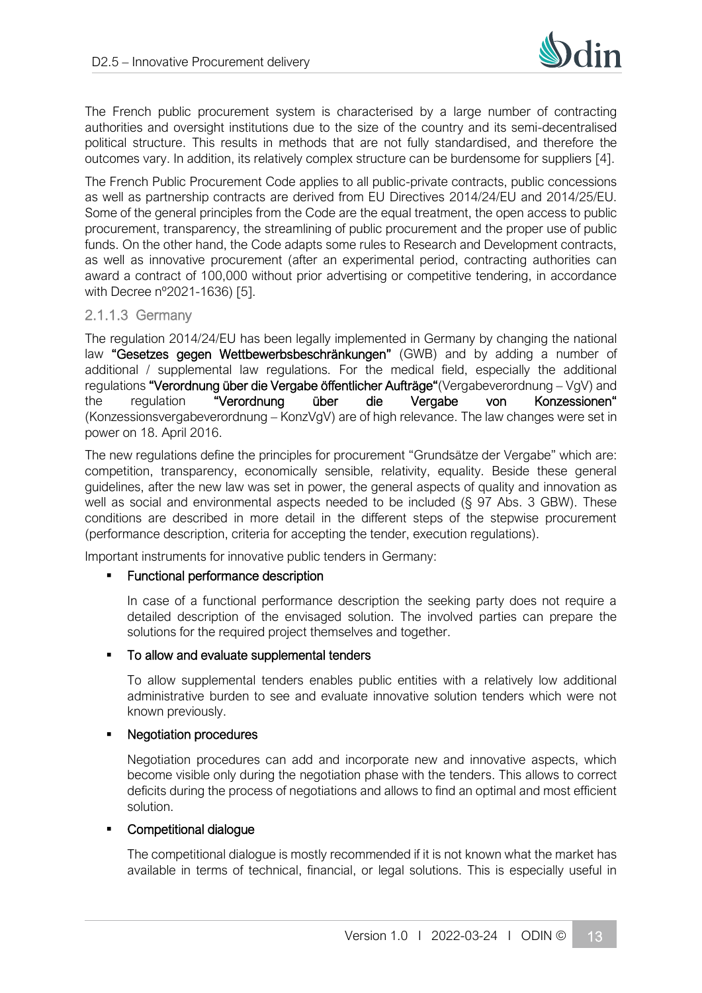

The French public procurement system is characterised by a large number of contracting authorities and oversight institutions due to the size of the country and its semi-decentralised political structure. This results in methods that are not fully standardised, and therefore the outcomes vary. In addition, its relatively complex structure can be burdensome for suppliers [4].

The French Public Procurement Code applies to all public-private contracts, public concessions as well as partnership contracts are derived from EU Directives 2014/24/EU and 2014/25/EU. Some of the general principles from the Code are the equal treatment, the open access to public procurement, transparency, the streamlining of public procurement and the proper use of public funds. On the other hand, the Code adapts some rules to Research and Development contracts, as well as innovative procurement (after an experimental period, contracting authorities can award a contract of 100,000 without prior advertising or competitive tendering, in accordance with Decree nº2021-1636) [5].

#### 2.1.1.3 Germany

The regulation 2014/24/EU has been legally implemented in Germany by changing the national law "Gesetzes gegen Wettbewerbsbeschränkungen" (GWB) and by adding a number of additional / supplemental law regulations. For the medical field, especially the additional regulations "Verordnung über die Vergabe öffentlicher Aufträge"(Vergabeverordnung – VgV) and the regulation "Verordnung über die Vergabe von Konzessionen" (Konzessionsvergabeverordnung – KonzVgV) are of high relevance. The law changes were set in power on 18. April 2016.

The new regulations define the principles for procurement "Grundsätze der Vergabe" which are: competition, transparency, economically sensible, relativity, equality. Beside these general guidelines, after the new law was set in power, the general aspects of quality and innovation as well as social and environmental aspects needed to be included (§ 97 Abs. 3 GBW). These conditions are described in more detail in the different steps of the stepwise procurement (performance description, criteria for accepting the tender, execution regulations).

Important instruments for innovative public tenders in Germany:

#### **Functional performance description**

In case of a functional performance description the seeking party does not require a detailed description of the envisaged solution. The involved parties can prepare the solutions for the required project themselves and together.

#### ■ To allow and evaluate supplemental tenders

To allow supplemental tenders enables public entities with a relatively low additional administrative burden to see and evaluate innovative solution tenders which were not known previously.

#### ▪ Negotiation procedures

Negotiation procedures can add and incorporate new and innovative aspects, which become visible only during the negotiation phase with the tenders. This allows to correct deficits during the process of negotiations and allows to find an optimal and most efficient solution.

#### ▪ Competitional dialogue

The competitional dialogue is mostly recommended if it is not known what the market has available in terms of technical, financial, or legal solutions. This is especially useful in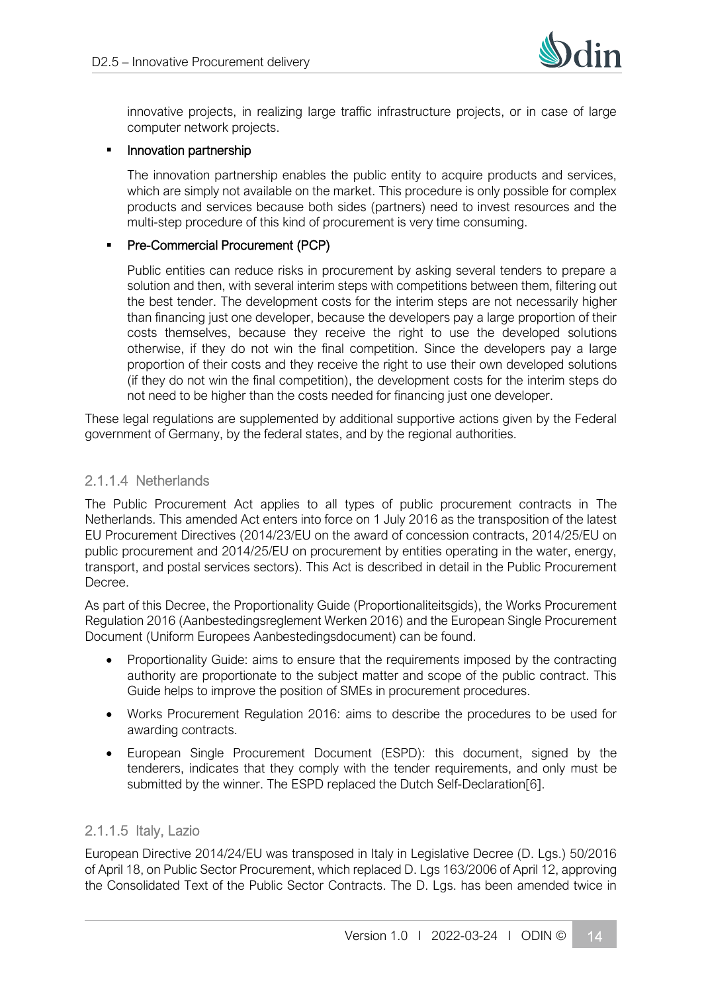

innovative projects, in realizing large traffic infrastructure projects, or in case of large computer network projects.

#### **•** Innovation partnership

The innovation partnership enables the public entity to acquire products and services, which are simply not available on the market. This procedure is only possible for complex products and services because both sides (partners) need to invest resources and the multi-step procedure of this kind of procurement is very time consuming.

#### ▪ Pre-Commercial Procurement (PCP)

Public entities can reduce risks in procurement by asking several tenders to prepare a solution and then, with several interim steps with competitions between them, filtering out the best tender. The development costs for the interim steps are not necessarily higher than financing just one developer, because the developers pay a large proportion of their costs themselves, because they receive the right to use the developed solutions otherwise, if they do not win the final competition. Since the developers pay a large proportion of their costs and they receive the right to use their own developed solutions (if they do not win the final competition), the development costs for the interim steps do not need to be higher than the costs needed for financing just one developer.

These legal regulations are supplemented by additional supportive actions given by the Federal government of Germany, by the federal states, and by the regional authorities.

#### 2.1.1.4 Netherlands

The Public Procurement Act applies to all types of public procurement contracts in The Netherlands. This amended Act enters into force on 1 July 2016 as the transposition of the latest EU Procurement Directives (2014/23/EU on the award of concession contracts, 2014/25/EU on public procurement and 2014/25/EU on procurement by entities operating in the water, energy, transport, and postal services sectors). This Act is described in detail in the Public Procurement Decree.

As part of this Decree, the Proportionality Guide (Proportionaliteitsgids), the Works Procurement Regulation 2016 (Aanbestedingsreglement Werken 2016) and the European Single Procurement Document (Uniform Europees Aanbestedingsdocument) can be found.

- Proportionality Guide: aims to ensure that the requirements imposed by the contracting authority are proportionate to the subject matter and scope of the public contract. This Guide helps to improve the position of SMEs in procurement procedures.
- Works Procurement Regulation 2016: aims to describe the procedures to be used for awarding contracts.
- European Single Procurement Document (ESPD): this document, signed by the tenderers, indicates that they comply with the tender requirements, and only must be submitted by the winner. The ESPD replaced the Dutch Self-Declaration[6].

#### 2.1.1.5 Italy, Lazio

European Directive 2014/24/EU was transposed in Italy in Legislative Decree (D. Lgs.) 50/2016 of April 18, on Public Sector Procurement, which replaced D. Lgs 163/2006 of April 12, approving the Consolidated Text of the Public Sector Contracts. The D. Lgs. has been amended twice in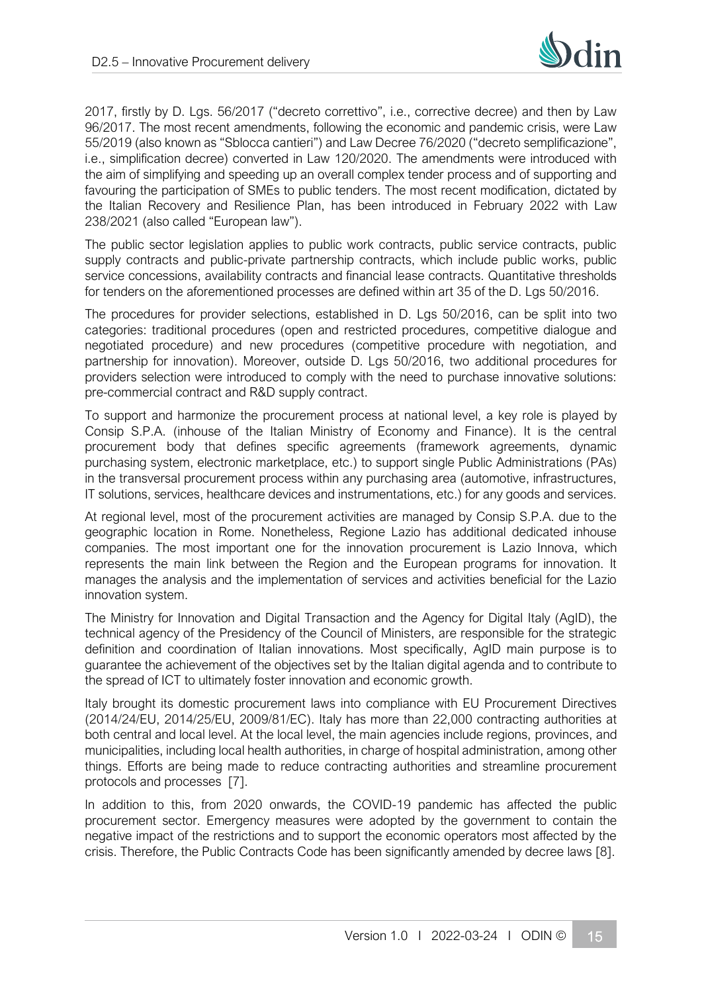

2017, firstly by D. Lgs. 56/2017 ("decreto correttivo", i.e., corrective decree) and then by Law 96/2017. The most recent amendments, following the economic and pandemic crisis, were Law 55/2019 (also known as "Sblocca cantieri") and Law Decree 76/2020 ("decreto semplificazione", i.e., simplification decree) converted in Law 120/2020. The amendments were introduced with the aim of simplifying and speeding up an overall complex tender process and of supporting and favouring the participation of SMEs to public tenders. The most recent modification, dictated by the Italian Recovery and Resilience Plan, has been introduced in February 2022 with Law 238/2021 (also called "European law").

The public sector legislation applies to public work contracts, public service contracts, public supply contracts and public-private partnership contracts, which include public works, public service concessions, availability contracts and financial lease contracts. Quantitative thresholds for tenders on the aforementioned processes are defined within art 35 of the D. Lgs 50/2016.

The procedures for provider selections, established in D. Lgs 50/2016, can be split into two categories: traditional procedures (open and restricted procedures, competitive dialogue and negotiated procedure) and new procedures (competitive procedure with negotiation, and partnership for innovation). Moreover, outside D. Lgs 50/2016, two additional procedures for providers selection were introduced to comply with the need to purchase innovative solutions: pre-commercial contract and R&D supply contract.

To support and harmonize the procurement process at national level, a key role is played by Consip S.P.A. (inhouse of the Italian Ministry of Economy and Finance). It is the central procurement body that defines specific agreements (framework agreements, dynamic purchasing system, electronic marketplace, etc.) to support single Public Administrations (PAs) in the transversal procurement process within any purchasing area (automotive, infrastructures, IT solutions, services, healthcare devices and instrumentations, etc.) for any goods and services.

At regional level, most of the procurement activities are managed by Consip S.P.A. due to the geographic location in Rome. Nonetheless, Regione Lazio has additional dedicated inhouse companies. The most important one for the innovation procurement is Lazio Innova, which represents the main link between the Region and the European programs for innovation. It manages the analysis and the implementation of services and activities beneficial for the Lazio innovation system.

The Ministry for Innovation and Digital Transaction and the Agency for Digital Italy (AgID), the technical agency of the Presidency of the Council of Ministers, are responsible for the strategic definition and coordination of Italian innovations. Most specifically, AgID main purpose is to guarantee the achievement of the objectives set by the Italian digital agenda and to contribute to the spread of ICT to ultimately foster innovation and economic growth.

Italy brought its domestic procurement laws into compliance with EU Procurement Directives (2014/24/EU, 2014/25/EU, 2009/81/EC). Italy has more than 22,000 contracting authorities at both central and local level. At the local level, the main agencies include regions, provinces, and municipalities, including local health authorities, in charge of hospital administration, among other things. Efforts are being made to reduce contracting authorities and streamline procurement protocols and processes [7].

In addition to this, from 2020 onwards, the COVID-19 pandemic has affected the public procurement sector. Emergency measures were adopted by the government to contain the negative impact of the restrictions and to support the economic operators most affected by the crisis. Therefore, the Public Contracts Code has been significantly amended by decree laws [8].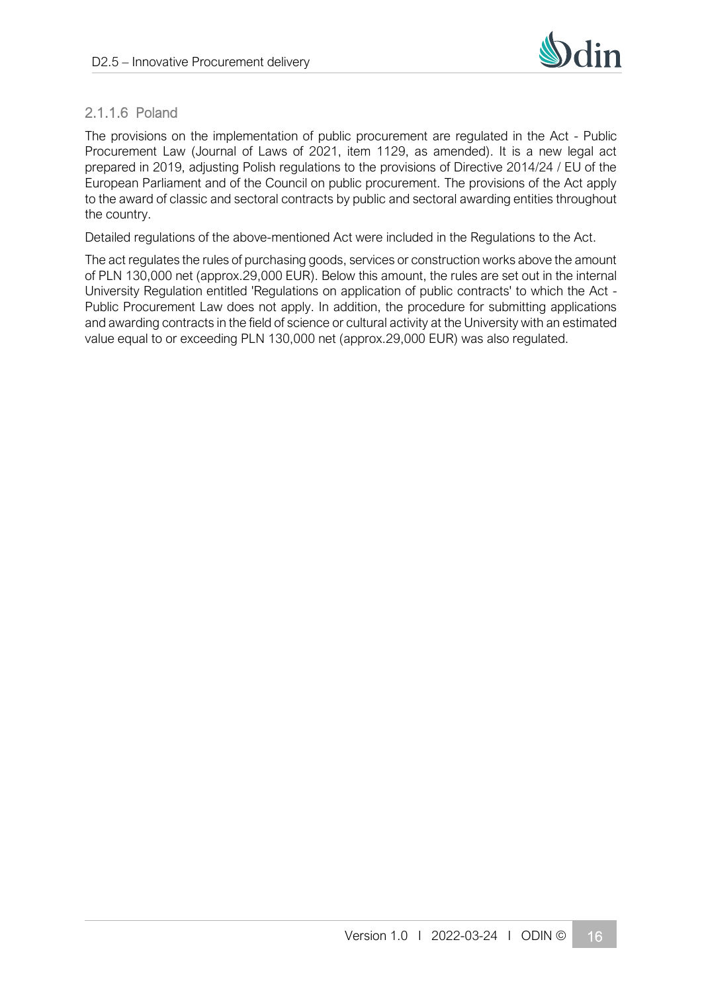

#### 2.1.1.6 Poland

The provisions on the implementation of public procurement are regulated in the Act - Public Procurement Law (Journal of Laws of 2021, item 1129, as amended). It is a new legal act prepared in 2019, adjusting Polish regulations to the provisions of Directive 2014/24 / EU of the European Parliament and of the Council on public procurement. The provisions of the Act apply to the award of classic and sectoral contracts by public and sectoral awarding entities throughout the country.

Detailed regulations of the above-mentioned Act were included in the Regulations to the Act.

The act regulates the rules of purchasing goods, services or construction works above the amount of PLN 130,000 net (approx.29,000 EUR). Below this amount, the rules are set out in the internal University Regulation entitled 'Regulations on application of public contracts' to which the Act - Public Procurement Law does not apply. In addition, the procedure for submitting applications and awarding contracts in the field of science or cultural activity at the University with an estimated value equal to or exceeding PLN 130,000 net (approx.29,000 EUR) was also regulated.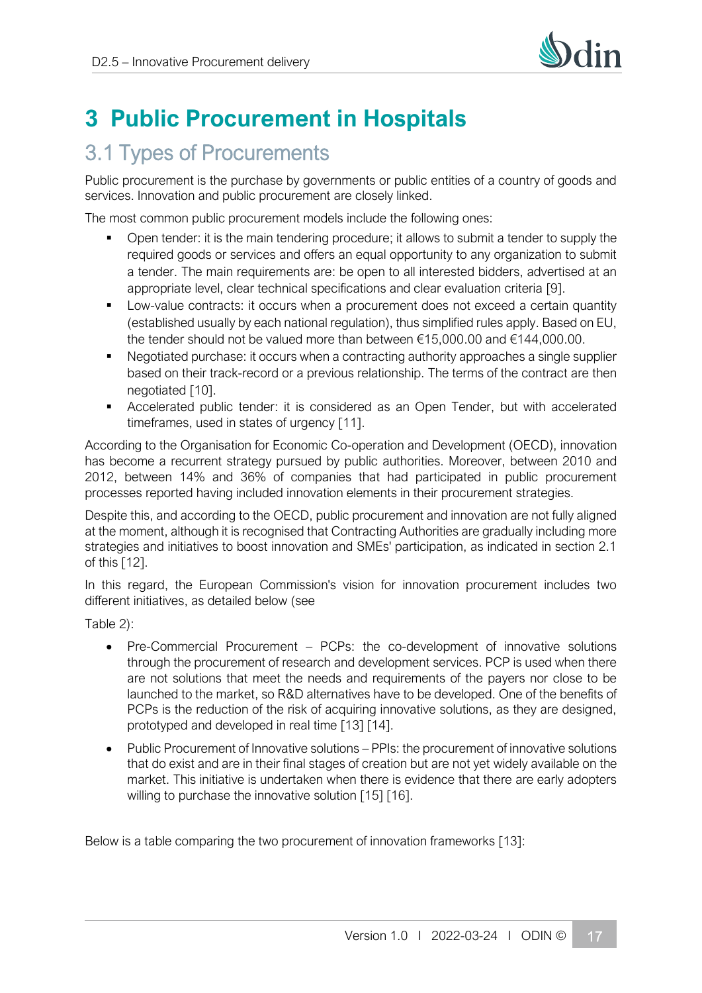

# <span id="page-16-0"></span>**3 Public Procurement in Hospitals**

## <span id="page-16-1"></span>3.1 Types of Procurements

Public procurement is the purchase by governments or public entities of a country of goods and services. Innovation and public procurement are closely linked.

The most common public procurement models include the following ones:

- Open tender: it is the main tendering procedure; it allows to submit a tender to supply the required goods or services and offers an equal opportunity to any organization to submit a tender. The main requirements are: be open to all interested bidders, advertised at an appropriate level, clear technical specifications and clear evaluation criteria [9].
- **•** Low-value contracts: it occurs when a procurement does not exceed a certain quantity (established usually by each national regulation), thus simplified rules apply. Based on EU, the tender should not be valued more than between €15,000.00 and €144,000.00.
- Negotiated purchase: it occurs when a contracting authority approaches a single supplier based on their track-record or a previous relationship. The terms of the contract are then negotiated [10].
- Accelerated public tender: it is considered as an Open Tender, but with accelerated timeframes, used in states of urgency [11].

According to the Organisation for Economic Co-operation and Development (OECD), innovation has become a recurrent strategy pursued by public authorities. Moreover, between 2010 and 2012, between 14% and 36% of companies that had participated in public procurement processes reported having included innovation elements in their procurement strategies.

Despite this, and according to the OECD, public procurement and innovation are not fully aligned at the moment, although it is recognised that Contracting Authorities are gradually including more strategies and initiatives to boost innovation and SMEs' participation, as indicated in section 2.1 of this [12].

In this regard, the European Commission's vision for innovation procurement includes two different initiatives, as detailed below (see

[Table 2\)](#page-17-2):

- Pre-Commercial Procurement PCPs: the co-development of innovative solutions through the procurement of research and development services. PCP is used when there are not solutions that meet the needs and requirements of the payers nor close to be launched to the market, so R&D alternatives have to be developed. One of the benefits of PCPs is the reduction of the risk of acquiring innovative solutions, as they are designed, prototyped and developed in real time [13] [14].
- Public Procurement of Innovative solutions PPIs: the procurement of innovative solutions that do exist and are in their final stages of creation but are not yet widely available on the market. This initiative is undertaken when there is evidence that there are early adopters willing to purchase the innovative solution [15] [16].

Below is a table comparing the two procurement of innovation frameworks [13]: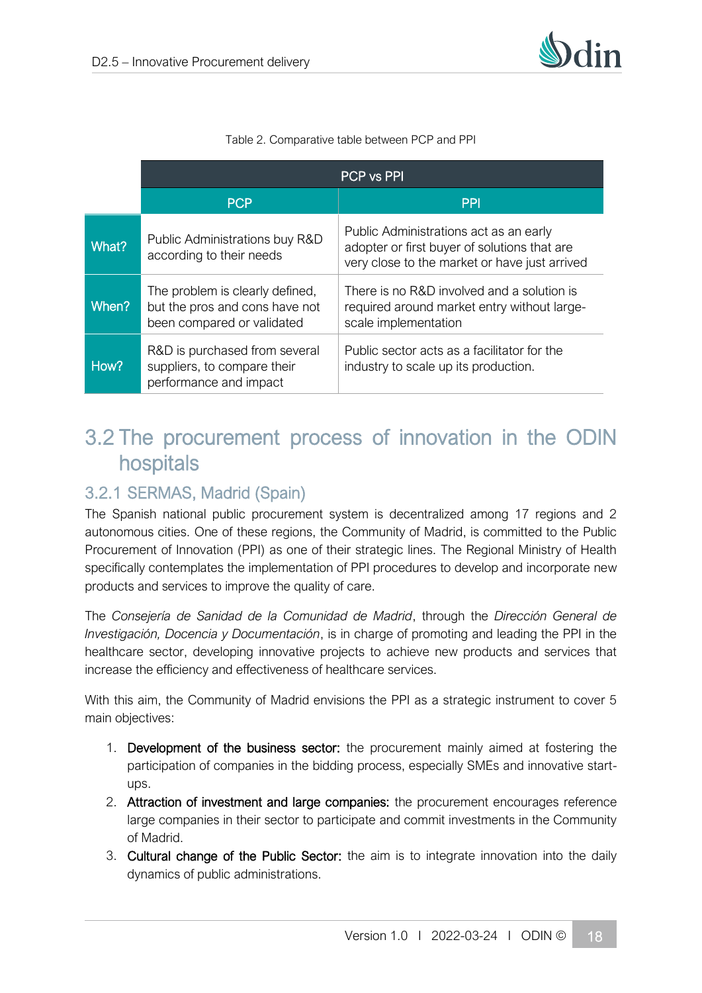

| Table 2. Comparative table between PCP and PPI |  |  |
|------------------------------------------------|--|--|
|------------------------------------------------|--|--|

<span id="page-17-2"></span>

|       | PCP vs PPI                                                                                      |                                                                                                                                         |  |  |
|-------|-------------------------------------------------------------------------------------------------|-----------------------------------------------------------------------------------------------------------------------------------------|--|--|
|       | <b>PCP</b>                                                                                      | <b>PPI</b>                                                                                                                              |  |  |
| What? | Public Administrations buy R&D<br>according to their needs                                      | Public Administrations act as an early<br>adopter or first buyer of solutions that are<br>very close to the market or have just arrived |  |  |
| When? | The problem is clearly defined,<br>but the pros and cons have not<br>been compared or validated | There is no R&D involved and a solution is<br>required around market entry without large-<br>scale implementation                       |  |  |
| How?  | R&D is purchased from several<br>suppliers, to compare their<br>performance and impact          | Public sector acts as a facilitator for the<br>industry to scale up its production.                                                     |  |  |

## <span id="page-17-0"></span>3.2 The procurement process of innovation in the ODIN hospitals

### <span id="page-17-1"></span>3.2.1 SERMAS, Madrid (Spain)

The Spanish national public procurement system is decentralized among 17 regions and 2 autonomous cities. One of these regions, the Community of Madrid, is committed to the Public Procurement of Innovation (PPI) as one of their strategic lines. The Regional Ministry of Health specifically contemplates the implementation of PPI procedures to develop and incorporate new products and services to improve the quality of care.

The *Consejería de Sanidad de la Comunidad de Madrid*, through the *Dirección General de Investigación, Docencia y Documentación*, is in charge of promoting and leading the PPI in the healthcare sector, developing innovative projects to achieve new products and services that increase the efficiency and effectiveness of healthcare services.

With this aim, the Community of Madrid envisions the PPI as a strategic instrument to cover 5 main objectives:

- 1. Development of the business sector: the procurement mainly aimed at fostering the participation of companies in the bidding process, especially SMEs and innovative startups.
- 2. Attraction of investment and large companies: the procurement encourages reference large companies in their sector to participate and commit investments in the Community of Madrid.
- 3. Cultural change of the Public Sector: the aim is to integrate innovation into the daily dynamics of public administrations.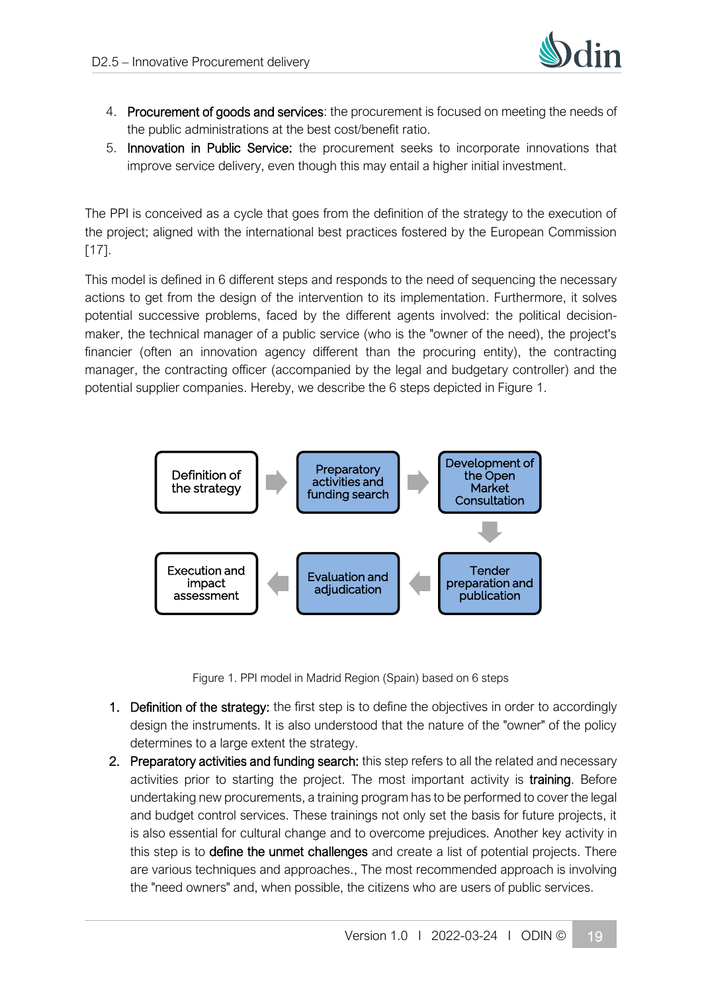

- 4. Procurement of goods and services: the procurement is focused on meeting the needs of the public administrations at the best cost/benefit ratio.
- 5. Innovation in Public Service: the procurement seeks to incorporate innovations that improve service delivery, even though this may entail a higher initial investment.

The PPI is conceived as a cycle that goes from the definition of the strategy to the execution of the project; aligned with the international best practices fostered by the European Commission [17].

This model is defined in 6 different steps and responds to the need of sequencing the necessary actions to get from the design of the intervention to its implementation. Furthermore, it solves potential successive problems, faced by the different agents involved: the political decisionmaker, the technical manager of a public service (who is the "owner of the need), the project's financier (often an innovation agency different than the procuring entity), the contracting manager, the contracting officer (accompanied by the legal and budgetary controller) and the potential supplier companies. Hereby, we describe the 6 steps depicted in Figure 1.



Figure 1. PPI model in Madrid Region (Spain) based on 6 steps

- <span id="page-18-0"></span>1. Definition of the strategy: the first step is to define the objectives in order to accordingly design the instruments. It is also understood that the nature of the "owner" of the policy determines to a large extent the strategy.
- 2. Preparatory activities and funding search: this step refers to all the related and necessary activities prior to starting the project. The most important activity is training. Before undertaking new procurements, a training program has to be performed to cover the legal and budget control services. These trainings not only set the basis for future projects, it is also essential for cultural change and to overcome prejudices. Another key activity in this step is to define the unmet challenges and create a list of potential projects. There are various techniques and approaches., The most recommended approach is involving the "need owners" and, when possible, the citizens who are users of public services.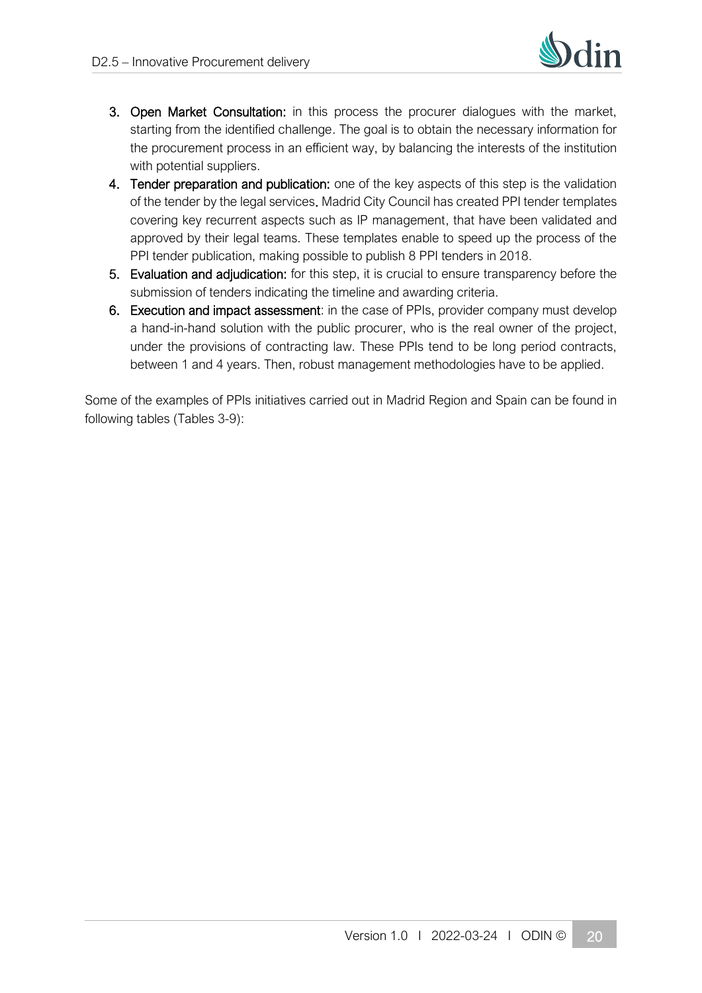

- 3. Open Market Consultation: in this process the procurer dialogues with the market, starting from the identified challenge. The goal is to obtain the necessary information for the procurement process in an efficient way, by balancing the interests of the institution with potential suppliers.
- 4. Tender preparation and publication: one of the key aspects of this step is the validation of the tender by the legal services. Madrid City Council has created PPI tender templates covering key recurrent aspects such as IP management, that have been validated and approved by their legal teams. These templates enable to speed up the process of the PPI tender publication, making possible to publish 8 PPI tenders in 2018.
- 5. Evaluation and adjudication: for this step, it is crucial to ensure transparency before the submission of tenders indicating the timeline and awarding criteria.
- 6. Execution and impact assessment: in the case of PPIs, provider company must develop a hand-in-hand solution with the public procurer, who is the real owner of the project, under the provisions of contracting law. These PPIs tend to be long period contracts, between 1 and 4 years. Then, robust management methodologies have to be applied.

Some of the examples of PPIs initiatives carried out in Madrid Region and Spain can be found in following tables (Tables 3-9):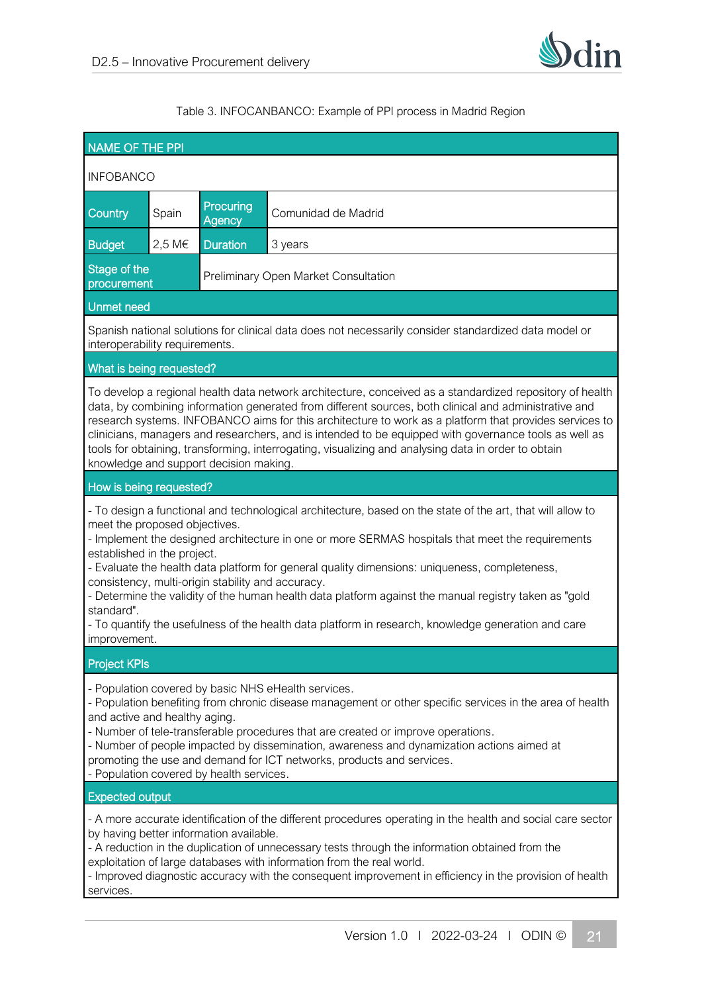

#### Table 3. INFOCANBANCO: Example of PPI process in Madrid Region

| <b>NAME OF THE PPI</b>                                                                                                                                                                                                                                                                                                                                                                                                                                                                                                                                                                                                                                                             |        |                                        |                                                                                                                                                                                                                                                                                                                                                                                                                                                                                                                                             |  |
|------------------------------------------------------------------------------------------------------------------------------------------------------------------------------------------------------------------------------------------------------------------------------------------------------------------------------------------------------------------------------------------------------------------------------------------------------------------------------------------------------------------------------------------------------------------------------------------------------------------------------------------------------------------------------------|--------|----------------------------------------|---------------------------------------------------------------------------------------------------------------------------------------------------------------------------------------------------------------------------------------------------------------------------------------------------------------------------------------------------------------------------------------------------------------------------------------------------------------------------------------------------------------------------------------------|--|
| <b>INFOBANCO</b>                                                                                                                                                                                                                                                                                                                                                                                                                                                                                                                                                                                                                                                                   |        |                                        |                                                                                                                                                                                                                                                                                                                                                                                                                                                                                                                                             |  |
| Country                                                                                                                                                                                                                                                                                                                                                                                                                                                                                                                                                                                                                                                                            | Spain  | Procuring<br><b>Agency</b>             | Comunidad de Madrid                                                                                                                                                                                                                                                                                                                                                                                                                                                                                                                         |  |
| <b>Budget</b>                                                                                                                                                                                                                                                                                                                                                                                                                                                                                                                                                                                                                                                                      | 2,5 M€ | <b>Duration</b>                        | 3 years                                                                                                                                                                                                                                                                                                                                                                                                                                                                                                                                     |  |
| Stage of the<br>procurement                                                                                                                                                                                                                                                                                                                                                                                                                                                                                                                                                                                                                                                        |        |                                        | Preliminary Open Market Consultation                                                                                                                                                                                                                                                                                                                                                                                                                                                                                                        |  |
| <b>Unmet need</b>                                                                                                                                                                                                                                                                                                                                                                                                                                                                                                                                                                                                                                                                  |        |                                        |                                                                                                                                                                                                                                                                                                                                                                                                                                                                                                                                             |  |
| interoperability requirements.                                                                                                                                                                                                                                                                                                                                                                                                                                                                                                                                                                                                                                                     |        |                                        | Spanish national solutions for clinical data does not necessarily consider standardized data model or                                                                                                                                                                                                                                                                                                                                                                                                                                       |  |
| What is being requested?                                                                                                                                                                                                                                                                                                                                                                                                                                                                                                                                                                                                                                                           |        |                                        |                                                                                                                                                                                                                                                                                                                                                                                                                                                                                                                                             |  |
|                                                                                                                                                                                                                                                                                                                                                                                                                                                                                                                                                                                                                                                                                    |        | knowledge and support decision making. | To develop a regional health data network architecture, conceived as a standardized repository of health<br>data, by combining information generated from different sources, both clinical and administrative and<br>research systems. INFOBANCO aims for this architecture to work as a platform that provides services to<br>clinicians, managers and researchers, and is intended to be equipped with governance tools as well as<br>tools for obtaining, transforming, interrogating, visualizing and analysing data in order to obtain |  |
| How is being requested?                                                                                                                                                                                                                                                                                                                                                                                                                                                                                                                                                                                                                                                            |        |                                        |                                                                                                                                                                                                                                                                                                                                                                                                                                                                                                                                             |  |
| - To design a functional and technological architecture, based on the state of the art, that will allow to<br>meet the proposed objectives.<br>- Implement the designed architecture in one or more SERMAS hospitals that meet the requirements<br>established in the project.<br>- Evaluate the health data platform for general quality dimensions: uniqueness, completeness,<br>consistency, multi-origin stability and accuracy.<br>- Determine the validity of the human health data platform against the manual registry taken as "gold<br>standard".<br>- To quantify the usefulness of the health data platform in research, knowledge generation and care<br>improvement. |        |                                        |                                                                                                                                                                                                                                                                                                                                                                                                                                                                                                                                             |  |
| <b>Project KPIs</b>                                                                                                                                                                                                                                                                                                                                                                                                                                                                                                                                                                                                                                                                |        |                                        |                                                                                                                                                                                                                                                                                                                                                                                                                                                                                                                                             |  |
| - Population covered by basic NHS eHealth services.<br>- Population benefiting from chronic disease management or other specific services in the area of health<br>and active and healthy aging.<br>- Number of tele-transferable procedures that are created or improve operations.<br>- Number of people impacted by dissemination, awareness and dynamization actions aimed at<br>promoting the use and demand for ICT networks, products and services.<br>- Population covered by health services.                                                                                                                                                                             |        |                                        |                                                                                                                                                                                                                                                                                                                                                                                                                                                                                                                                             |  |
| <b>Expected output</b>                                                                                                                                                                                                                                                                                                                                                                                                                                                                                                                                                                                                                                                             |        |                                        |                                                                                                                                                                                                                                                                                                                                                                                                                                                                                                                                             |  |
| - A more accurate identification of the different procedures operating in the health and social care sector<br>by having better information available.<br>- A reduction in the duplication of unnecessary tests through the information obtained from the<br>exploitation of large databases with information from the real world.<br>- Improved diagnostic accuracy with the consequent improvement in efficiency in the provision of health<br>services.                                                                                                                                                                                                                         |        |                                        |                                                                                                                                                                                                                                                                                                                                                                                                                                                                                                                                             |  |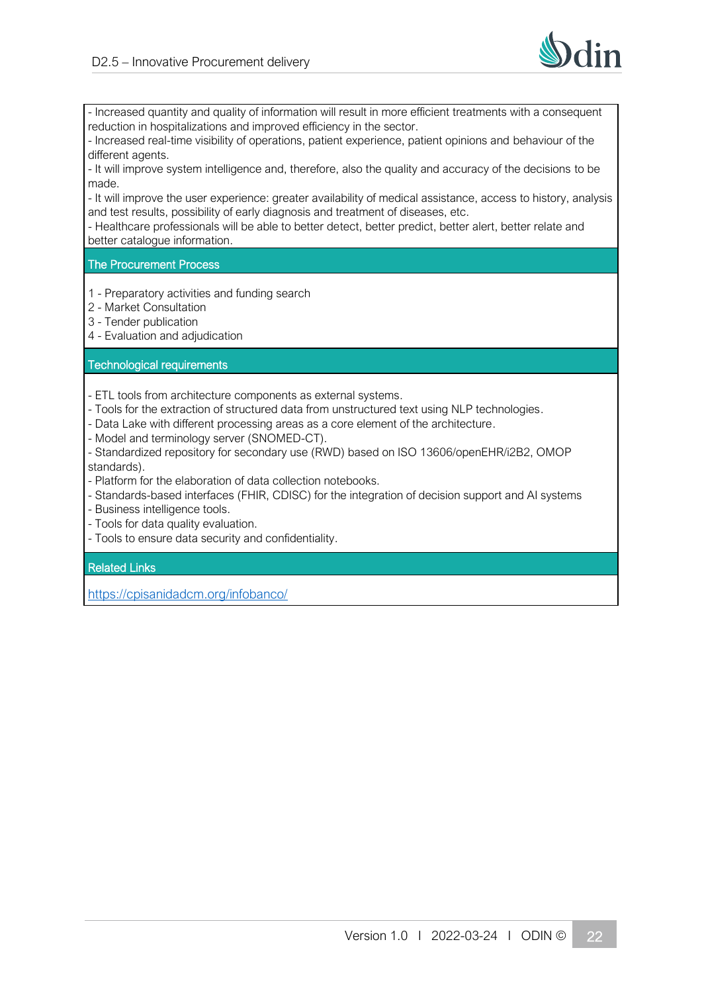

- Increased quantity and quality of information will result in more efficient treatments with a consequent reduction in hospitalizations and improved efficiency in the sector.

- Increased real-time visibility of operations, patient experience, patient opinions and behaviour of the different agents.

- It will improve system intelligence and, therefore, also the quality and accuracy of the decisions to be made.

- It will improve the user experience: greater availability of medical assistance, access to history, analysis and test results, possibility of early diagnosis and treatment of diseases, etc.

- Healthcare professionals will be able to better detect, better predict, better alert, better relate and better catalogue information.

The Procurement Process

- 1 Preparatory activities and funding search
- 2 Market Consultation
- 3 Tender publication
- 4 Evaluation and adjudication

#### Technological requirements

- ETL tools from architecture components as external systems.
- Tools for the extraction of structured data from unstructured text using NLP technologies.
- Data Lake with different processing areas as a core element of the architecture.
- Model and terminology server (SNOMED-CT).

- Standardized repository for secondary use (RWD) based on ISO 13606/openEHR/i2B2, OMOP standards).

- Platform for the elaboration of data collection notebooks.

- Standards-based interfaces (FHIR, CDISC) for the integration of decision support and AI systems
- Business intelligence tools.
- Tools for data quality evaluation.
- Tools to ensure data security and confidentiality.

#### Related Links

<https://cpisanidadcm.org/infobanco/>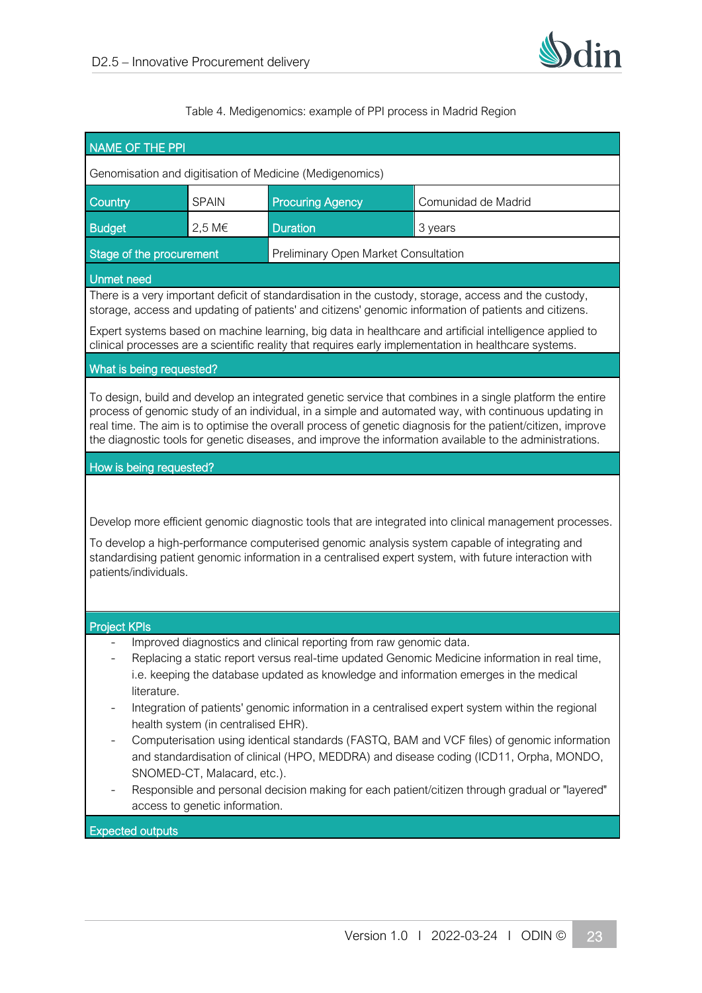

#### Table 4. Medigenomics: example of PPI process in Madrid Region

| NAME OF THE PPI                                                                                                                                                                                                                                                                                                                                                                                                                                                                                                      |                                |                                                |                                                                                                                                                                                                                                                                                                                                                                                                                                              |  |  |
|----------------------------------------------------------------------------------------------------------------------------------------------------------------------------------------------------------------------------------------------------------------------------------------------------------------------------------------------------------------------------------------------------------------------------------------------------------------------------------------------------------------------|--------------------------------|------------------------------------------------|----------------------------------------------------------------------------------------------------------------------------------------------------------------------------------------------------------------------------------------------------------------------------------------------------------------------------------------------------------------------------------------------------------------------------------------------|--|--|
| Genomisation and digitisation of Medicine (Medigenomics)                                                                                                                                                                                                                                                                                                                                                                                                                                                             |                                |                                                |                                                                                                                                                                                                                                                                                                                                                                                                                                              |  |  |
| Country                                                                                                                                                                                                                                                                                                                                                                                                                                                                                                              | <b>SPAIN</b>                   | <b>Procuring Agency</b><br>Comunidad de Madrid |                                                                                                                                                                                                                                                                                                                                                                                                                                              |  |  |
| <b>Budget</b>                                                                                                                                                                                                                                                                                                                                                                                                                                                                                                        | 2,5 M€                         | <b>Duration</b>                                | 3 years                                                                                                                                                                                                                                                                                                                                                                                                                                      |  |  |
| Stage of the procurement                                                                                                                                                                                                                                                                                                                                                                                                                                                                                             |                                | Preliminary Open Market Consultation           |                                                                                                                                                                                                                                                                                                                                                                                                                                              |  |  |
| <b>Unmet need</b>                                                                                                                                                                                                                                                                                                                                                                                                                                                                                                    |                                |                                                |                                                                                                                                                                                                                                                                                                                                                                                                                                              |  |  |
|                                                                                                                                                                                                                                                                                                                                                                                                                                                                                                                      |                                |                                                | There is a very important deficit of standardisation in the custody, storage, access and the custody,<br>storage, access and updating of patients' and citizens' genomic information of patients and citizens.                                                                                                                                                                                                                               |  |  |
|                                                                                                                                                                                                                                                                                                                                                                                                                                                                                                                      |                                |                                                | Expert systems based on machine learning, big data in healthcare and artificial intelligence applied to<br>clinical processes are a scientific reality that requires early implementation in healthcare systems.                                                                                                                                                                                                                             |  |  |
| What is being requested?                                                                                                                                                                                                                                                                                                                                                                                                                                                                                             |                                |                                                |                                                                                                                                                                                                                                                                                                                                                                                                                                              |  |  |
|                                                                                                                                                                                                                                                                                                                                                                                                                                                                                                                      |                                |                                                | To design, build and develop an integrated genetic service that combines in a single platform the entire<br>process of genomic study of an individual, in a simple and automated way, with continuous updating in<br>real time. The aim is to optimise the overall process of genetic diagnosis for the patient/citizen, improve<br>the diagnostic tools for genetic diseases, and improve the information available to the administrations. |  |  |
| How is being requested?                                                                                                                                                                                                                                                                                                                                                                                                                                                                                              |                                |                                                |                                                                                                                                                                                                                                                                                                                                                                                                                                              |  |  |
| Develop more efficient genomic diagnostic tools that are integrated into clinical management processes.<br>To develop a high-performance computerised genomic analysis system capable of integrating and<br>standardising patient genomic information in a centralised expert system, with future interaction with<br>patients/individuals.                                                                                                                                                                          |                                |                                                |                                                                                                                                                                                                                                                                                                                                                                                                                                              |  |  |
| <b>Project KPIs</b>                                                                                                                                                                                                                                                                                                                                                                                                                                                                                                  |                                |                                                |                                                                                                                                                                                                                                                                                                                                                                                                                                              |  |  |
| Improved diagnostics and clinical reporting from raw genomic data.<br>Replacing a static report versus real-time updated Genomic Medicine information in real time,<br>i.e. keeping the database updated as knowledge and information emerges in the medical<br>literature.<br>Integration of patients' genomic information in a centralised expert system within the regional<br>health system (in centralised EHR).<br>Computerisation using identical standards (FASTQ, BAM and VCF files) of genomic information |                                |                                                |                                                                                                                                                                                                                                                                                                                                                                                                                                              |  |  |
| and standardisation of clinical (HPO, MEDDRA) and disease coding (ICD11, Orpha, MONDO,<br>SNOMED-CT, Malacard, etc.).<br>Responsible and personal decision making for each patient/citizen through gradual or "layered"                                                                                                                                                                                                                                                                                              |                                |                                                |                                                                                                                                                                                                                                                                                                                                                                                                                                              |  |  |
|                                                                                                                                                                                                                                                                                                                                                                                                                                                                                                                      | access to genetic information. |                                                |                                                                                                                                                                                                                                                                                                                                                                                                                                              |  |  |
| <b>Expected outputs</b>                                                                                                                                                                                                                                                                                                                                                                                                                                                                                              |                                |                                                |                                                                                                                                                                                                                                                                                                                                                                                                                                              |  |  |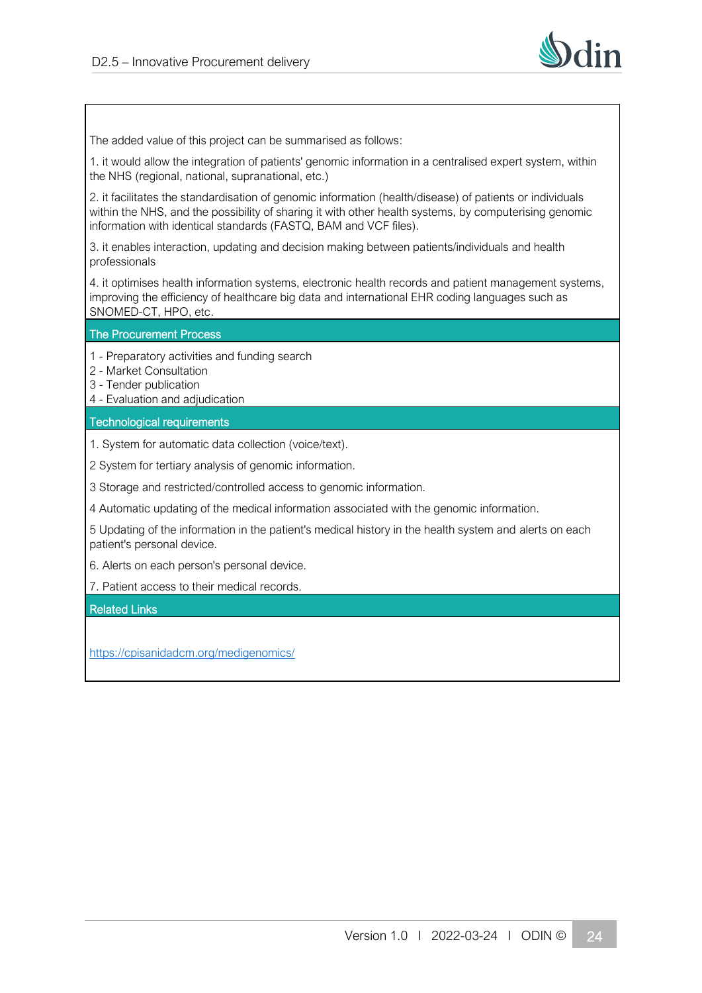

The added value of this project can be summarised as follows:

1. it would allow the integration of patients' genomic information in a centralised expert system, within the NHS (regional, national, supranational, etc.)

2. it facilitates the standardisation of genomic information (health/disease) of patients or individuals within the NHS, and the possibility of sharing it with other health systems, by computerising genomic information with identical standards (FASTQ, BAM and VCF files).

3. it enables interaction, updating and decision making between patients/individuals and health professionals

4. it optimises health information systems, electronic health records and patient management systems, improving the efficiency of healthcare big data and international EHR coding languages such as SNOMED-CT, HPO, etc.

The Procurement Process

1 - Preparatory activities and funding search

- 2 Market Consultation
- 3 Tender publication
- 4 Evaluation and adjudication

Technological requirements

1. System for automatic data collection (voice/text).

2 System for tertiary analysis of genomic information.

3 Storage and restricted/controlled access to genomic information.

4 Automatic updating of the medical information associated with the genomic information.

5 Updating of the information in the patient's medical history in the health system and alerts on each patient's personal device.

6. Alerts on each person's personal device.

7. Patient access to their medical records.

Related Links

https://cpisanidadcm.org/medigenomics/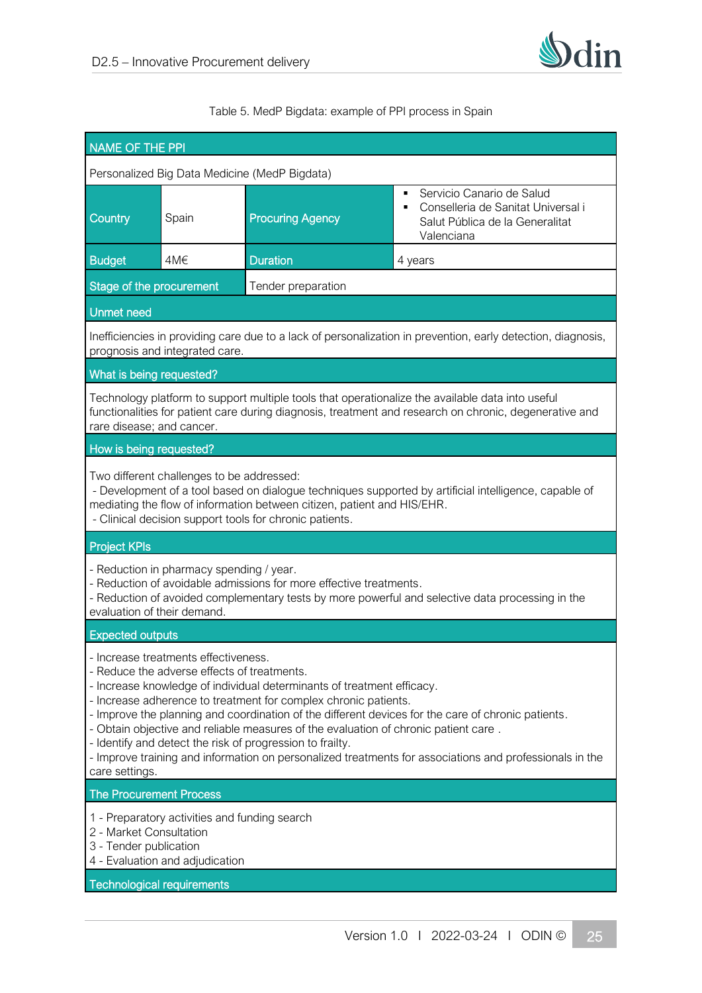

#### Table 5. MedP Bigdata: example of PPI process in Spain

| NAME OF THE PPI                                                                                                                                                                                                                                                                                                                                                                                                                                                                                                                                                                                                         |                                |                         |                                                                                                                                                                                                            |  |
|-------------------------------------------------------------------------------------------------------------------------------------------------------------------------------------------------------------------------------------------------------------------------------------------------------------------------------------------------------------------------------------------------------------------------------------------------------------------------------------------------------------------------------------------------------------------------------------------------------------------------|--------------------------------|-------------------------|------------------------------------------------------------------------------------------------------------------------------------------------------------------------------------------------------------|--|
| Personalized Big Data Medicine (MedP Bigdata)                                                                                                                                                                                                                                                                                                                                                                                                                                                                                                                                                                           |                                |                         |                                                                                                                                                                                                            |  |
| Country                                                                                                                                                                                                                                                                                                                                                                                                                                                                                                                                                                                                                 | Spain                          | <b>Procuring Agency</b> | Servicio Canario de Salud<br>٠<br>Conselleria de Sanitat Universal i<br>٠<br>Salut Pública de la Generalitat<br>Valenciana                                                                                 |  |
| <b>Budget</b>                                                                                                                                                                                                                                                                                                                                                                                                                                                                                                                                                                                                           | 4M€                            | <b>Duration</b>         | 4 years                                                                                                                                                                                                    |  |
| Stage of the procurement                                                                                                                                                                                                                                                                                                                                                                                                                                                                                                                                                                                                |                                | Tender preparation      |                                                                                                                                                                                                            |  |
| <b>Unmet need</b>                                                                                                                                                                                                                                                                                                                                                                                                                                                                                                                                                                                                       |                                |                         |                                                                                                                                                                                                            |  |
|                                                                                                                                                                                                                                                                                                                                                                                                                                                                                                                                                                                                                         | prognosis and integrated care. |                         | Inefficiencies in providing care due to a lack of personalization in prevention, early detection, diagnosis,                                                                                               |  |
| What is being requested?                                                                                                                                                                                                                                                                                                                                                                                                                                                                                                                                                                                                |                                |                         |                                                                                                                                                                                                            |  |
| rare disease; and cancer.                                                                                                                                                                                                                                                                                                                                                                                                                                                                                                                                                                                               |                                |                         | Technology platform to support multiple tools that operationalize the available data into useful<br>functionalities for patient care during diagnosis, treatment and research on chronic, degenerative and |  |
| How is being requested?                                                                                                                                                                                                                                                                                                                                                                                                                                                                                                                                                                                                 |                                |                         |                                                                                                                                                                                                            |  |
| Two different challenges to be addressed:<br>- Development of a tool based on dialogue techniques supported by artificial intelligence, capable of<br>mediating the flow of information between citizen, patient and HIS/EHR.<br>- Clinical decision support tools for chronic patients.                                                                                                                                                                                                                                                                                                                                |                                |                         |                                                                                                                                                                                                            |  |
| <b>Project KPIs</b>                                                                                                                                                                                                                                                                                                                                                                                                                                                                                                                                                                                                     |                                |                         |                                                                                                                                                                                                            |  |
| - Reduction in pharmacy spending / year.<br>- Reduction of avoidable admissions for more effective treatments.<br>- Reduction of avoided complementary tests by more powerful and selective data processing in the<br>evaluation of their demand.                                                                                                                                                                                                                                                                                                                                                                       |                                |                         |                                                                                                                                                                                                            |  |
| <b>Expected outputs</b>                                                                                                                                                                                                                                                                                                                                                                                                                                                                                                                                                                                                 |                                |                         |                                                                                                                                                                                                            |  |
| - Increase treatments effectiveness.<br>- Reduce the adverse effects of treatments.<br>- Increase knowledge of individual determinants of treatment efficacy.<br>- Increase adherence to treatment for complex chronic patients.<br>- Improve the planning and coordination of the different devices for the care of chronic patients.<br>- Obtain objective and reliable measures of the evaluation of chronic patient care.<br>- Identify and detect the risk of progression to frailty.<br>- Improve training and information on personalized treatments for associations and professionals in the<br>care settings. |                                |                         |                                                                                                                                                                                                            |  |
| <b>The Procurement Process</b>                                                                                                                                                                                                                                                                                                                                                                                                                                                                                                                                                                                          |                                |                         |                                                                                                                                                                                                            |  |
| 1 - Preparatory activities and funding search<br>2 - Market Consultation<br>3 - Tender publication<br>4 - Evaluation and adjudication                                                                                                                                                                                                                                                                                                                                                                                                                                                                                   |                                |                         |                                                                                                                                                                                                            |  |
| <b>Technological requirements</b>                                                                                                                                                                                                                                                                                                                                                                                                                                                                                                                                                                                       |                                |                         |                                                                                                                                                                                                            |  |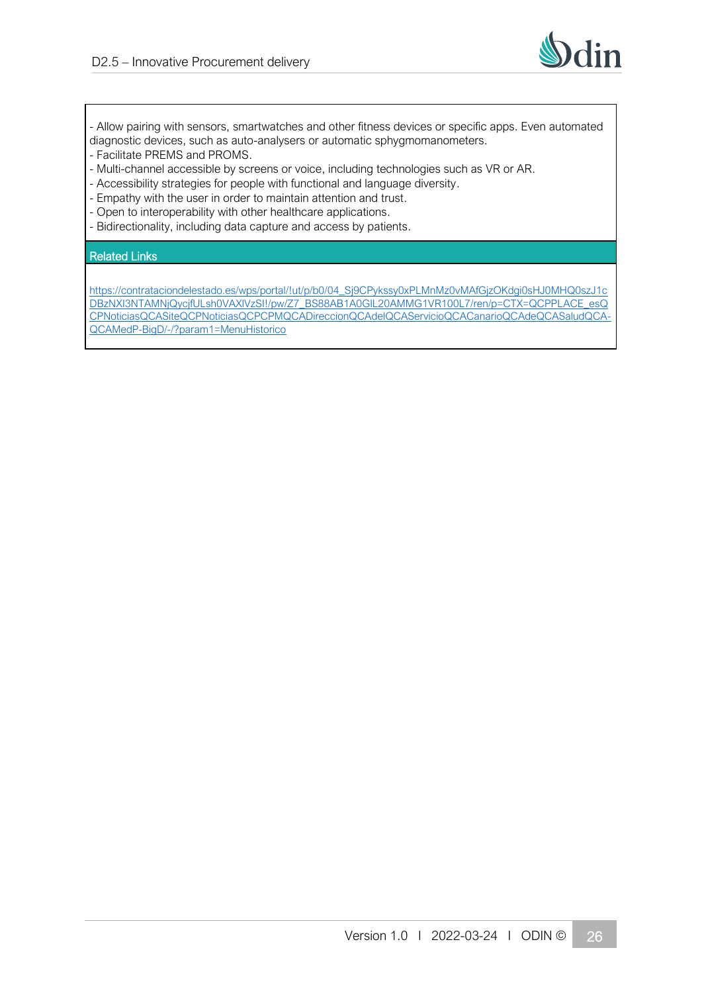

- Allow pairing with sensors, smartwatches and other fitness devices or specific apps. Even automated diagnostic devices, such as auto-analysers or automatic sphygmomanometers.

- Facilitate PREMS and PROMS.

- Multi-channel accessible by screens or voice, including technologies such as VR or AR.
- Accessibility strategies for people with functional and language diversity.
- Empathy with the user in order to maintain attention and trust.
- Open to interoperability with other healthcare applications.
- Bidirectionality, including data capture and access by patients.

#### Related Links

[https://contrataciondelestado.es/wps/portal/!ut/p/b0/04\\_Sj9CPykssy0xPLMnMz0vMAfGjzOKdgi0sHJ0MHQ0szJ1c](https://contrataciondelestado.es/wps/portal/!ut/p/b0/04_Sj9CPykssy0xPLMnMz0vMAfGjzOKdgi0sHJ0MHQ0szJ1cDBzNXI3NTAMNjQycjfULsh0VAXlVzSI!/pw/Z7_BS88AB1A0GIL20AMMG1VR100L7/ren/p=CTX=QCPPLACE_esQCPNoticiasQCASiteQCPNoticiasQCPCPMQCADireccionQCAdelQCAServicioQCACanarioQCAdeQCASaludQCA-QCAMedP-BigD/-/?param1=MenuHistorico) [DBzNXI3NTAMNjQycjfULsh0VAXlVzSI!/pw/Z7\\_BS88AB1A0GIL20AMMG1VR100L7/ren/p=CTX=QCPPLACE\\_esQ](https://contrataciondelestado.es/wps/portal/!ut/p/b0/04_Sj9CPykssy0xPLMnMz0vMAfGjzOKdgi0sHJ0MHQ0szJ1cDBzNXI3NTAMNjQycjfULsh0VAXlVzSI!/pw/Z7_BS88AB1A0GIL20AMMG1VR100L7/ren/p=CTX=QCPPLACE_esQCPNoticiasQCASiteQCPNoticiasQCPCPMQCADireccionQCAdelQCAServicioQCACanarioQCAdeQCASaludQCA-QCAMedP-BigD/-/?param1=MenuHistorico) [CPNoticiasQCASiteQCPNoticiasQCPCPMQCADireccionQCAdelQCAServicioQCACanarioQCAdeQCASaludQCA-](https://contrataciondelestado.es/wps/portal/!ut/p/b0/04_Sj9CPykssy0xPLMnMz0vMAfGjzOKdgi0sHJ0MHQ0szJ1cDBzNXI3NTAMNjQycjfULsh0VAXlVzSI!/pw/Z7_BS88AB1A0GIL20AMMG1VR100L7/ren/p=CTX=QCPPLACE_esQCPNoticiasQCASiteQCPNoticiasQCPCPMQCADireccionQCAdelQCAServicioQCACanarioQCAdeQCASaludQCA-QCAMedP-BigD/-/?param1=MenuHistorico)[QCAMedP-BigD/-/?param1=MenuHistorico](https://contrataciondelestado.es/wps/portal/!ut/p/b0/04_Sj9CPykssy0xPLMnMz0vMAfGjzOKdgi0sHJ0MHQ0szJ1cDBzNXI3NTAMNjQycjfULsh0VAXlVzSI!/pw/Z7_BS88AB1A0GIL20AMMG1VR100L7/ren/p=CTX=QCPPLACE_esQCPNoticiasQCASiteQCPNoticiasQCPCPMQCADireccionQCAdelQCAServicioQCACanarioQCAdeQCASaludQCA-QCAMedP-BigD/-/?param1=MenuHistorico)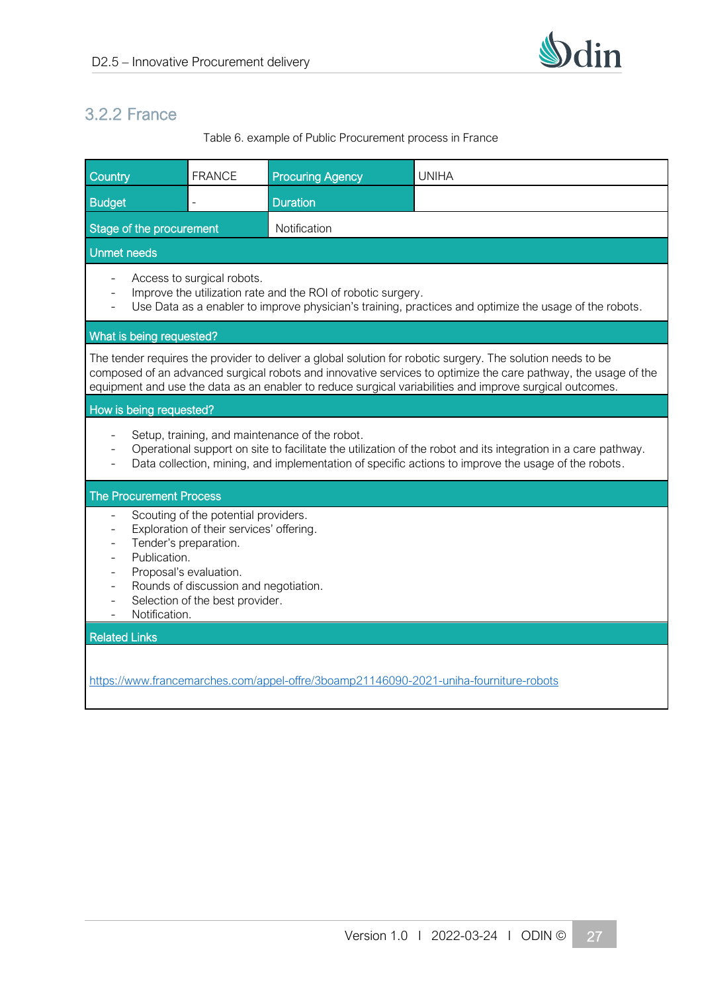

### <span id="page-26-0"></span>3.2.2 France

#### Table 6. example of Public Procurement process in France

| Country                                                                                                                                                                                                                                                                                  | <b>FRANCE</b>                                                                                                                                                                                                                                                          | <b>Procuring Agency</b> | <b>UNIHA</b>                                                                                                                                                                                                                                                                                                                              |  |  |
|------------------------------------------------------------------------------------------------------------------------------------------------------------------------------------------------------------------------------------------------------------------------------------------|------------------------------------------------------------------------------------------------------------------------------------------------------------------------------------------------------------------------------------------------------------------------|-------------------------|-------------------------------------------------------------------------------------------------------------------------------------------------------------------------------------------------------------------------------------------------------------------------------------------------------------------------------------------|--|--|
| <b>Budget</b>                                                                                                                                                                                                                                                                            |                                                                                                                                                                                                                                                                        | <b>Duration</b>         |                                                                                                                                                                                                                                                                                                                                           |  |  |
|                                                                                                                                                                                                                                                                                          | Stage of the procurement<br>Notification                                                                                                                                                                                                                               |                         |                                                                                                                                                                                                                                                                                                                                           |  |  |
| <b>Unmet needs</b>                                                                                                                                                                                                                                                                       |                                                                                                                                                                                                                                                                        |                         |                                                                                                                                                                                                                                                                                                                                           |  |  |
| Access to surgical robots.<br>Improve the utilization rate and the ROI of robotic surgery.<br>Use Data as a enabler to improve physician's training, practices and optimize the usage of the robots.                                                                                     |                                                                                                                                                                                                                                                                        |                         |                                                                                                                                                                                                                                                                                                                                           |  |  |
| What is being requested?                                                                                                                                                                                                                                                                 |                                                                                                                                                                                                                                                                        |                         |                                                                                                                                                                                                                                                                                                                                           |  |  |
|                                                                                                                                                                                                                                                                                          |                                                                                                                                                                                                                                                                        |                         | The tender requires the provider to deliver a global solution for robotic surgery. The solution needs to be<br>composed of an advanced surgical robots and innovative services to optimize the care pathway, the usage of the<br>equipment and use the data as an enabler to reduce surgical variabilities and improve surgical outcomes. |  |  |
| How is being requested?                                                                                                                                                                                                                                                                  |                                                                                                                                                                                                                                                                        |                         |                                                                                                                                                                                                                                                                                                                                           |  |  |
|                                                                                                                                                                                                                                                                                          | Setup, training, and maintenance of the robot.<br>Operational support on site to facilitate the utilization of the robot and its integration in a care pathway.<br>Data collection, mining, and implementation of specific actions to improve the usage of the robots. |                         |                                                                                                                                                                                                                                                                                                                                           |  |  |
| <b>The Procurement Process</b>                                                                                                                                                                                                                                                           |                                                                                                                                                                                                                                                                        |                         |                                                                                                                                                                                                                                                                                                                                           |  |  |
| Scouting of the potential providers.<br>$\equiv$<br>Exploration of their services' offering.<br>Tender's preparation.<br>Publication.<br>Proposal's evaluation.<br>Rounds of discussion and negotiation.<br>$\overline{\phantom{a}}$<br>Selection of the best provider.<br>Notification. |                                                                                                                                                                                                                                                                        |                         |                                                                                                                                                                                                                                                                                                                                           |  |  |
| <b>Related Links</b>                                                                                                                                                                                                                                                                     |                                                                                                                                                                                                                                                                        |                         |                                                                                                                                                                                                                                                                                                                                           |  |  |
|                                                                                                                                                                                                                                                                                          | https://www.francemarches.com/appel-offre/3boamp21146090-2021-uniha-fourniture-robots                                                                                                                                                                                  |                         |                                                                                                                                                                                                                                                                                                                                           |  |  |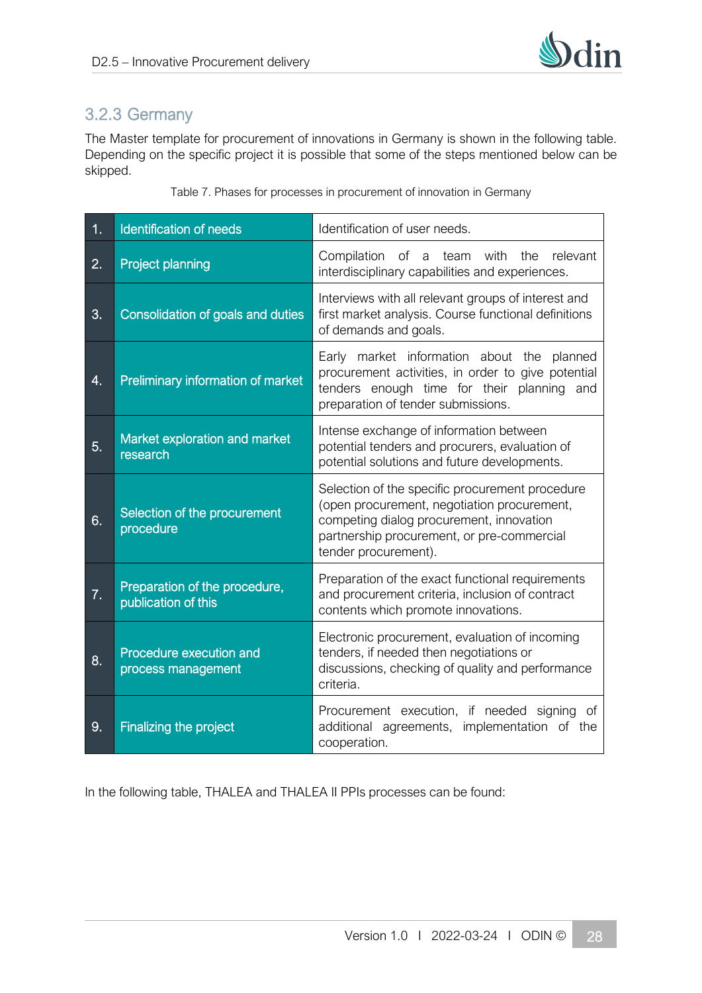

### <span id="page-27-0"></span>3.2.3 Germany

The Master template for procurement of innovations in Germany is shown in the following table. Depending on the specific project it is possible that some of the steps mentioned below can be skipped.

| 1. | <b>Identification of needs</b>                       | Identification of user needs.                                                                                                                                                                                    |
|----|------------------------------------------------------|------------------------------------------------------------------------------------------------------------------------------------------------------------------------------------------------------------------|
| 2. | <b>Project planning</b>                              | Compilation<br>of a<br>team<br>with<br>the<br>relevant<br>interdisciplinary capabilities and experiences.                                                                                                        |
| 3. | Consolidation of goals and duties                    | Interviews with all relevant groups of interest and<br>first market analysis. Course functional definitions<br>of demands and goals.                                                                             |
| 4. | <b>Preliminary information of market</b>             | Early market information about the<br>planned<br>procurement activities, in order to give potential<br>tenders enough time for their planning<br>and<br>preparation of tender submissions.                       |
| 5. | Market exploration and market<br>research            | Intense exchange of information between<br>potential tenders and procurers, evaluation of<br>potential solutions and future developments.                                                                        |
| 6. | Selection of the procurement<br>procedure            | Selection of the specific procurement procedure<br>(open procurement, negotiation procurement,<br>competing dialog procurement, innovation<br>partnership procurement, or pre-commercial<br>tender procurement). |
| 7. | Preparation of the procedure,<br>publication of this | Preparation of the exact functional requirements<br>and procurement criteria, inclusion of contract<br>contents which promote innovations.                                                                       |
| 8. | Procedure execution and<br>process management        | Electronic procurement, evaluation of incoming<br>tenders, if needed then negotiations or<br>discussions, checking of quality and performance<br>criteria.                                                       |
| 9. | <b>Finalizing the project</b>                        | Procurement execution, if needed signing<br>Οf<br>additional agreements, implementation of the<br>cooperation.                                                                                                   |

Table 7. Phases for processes in procurement of innovation in Germany

In the following table, THALEA and THALEA II PPIs processes can be found: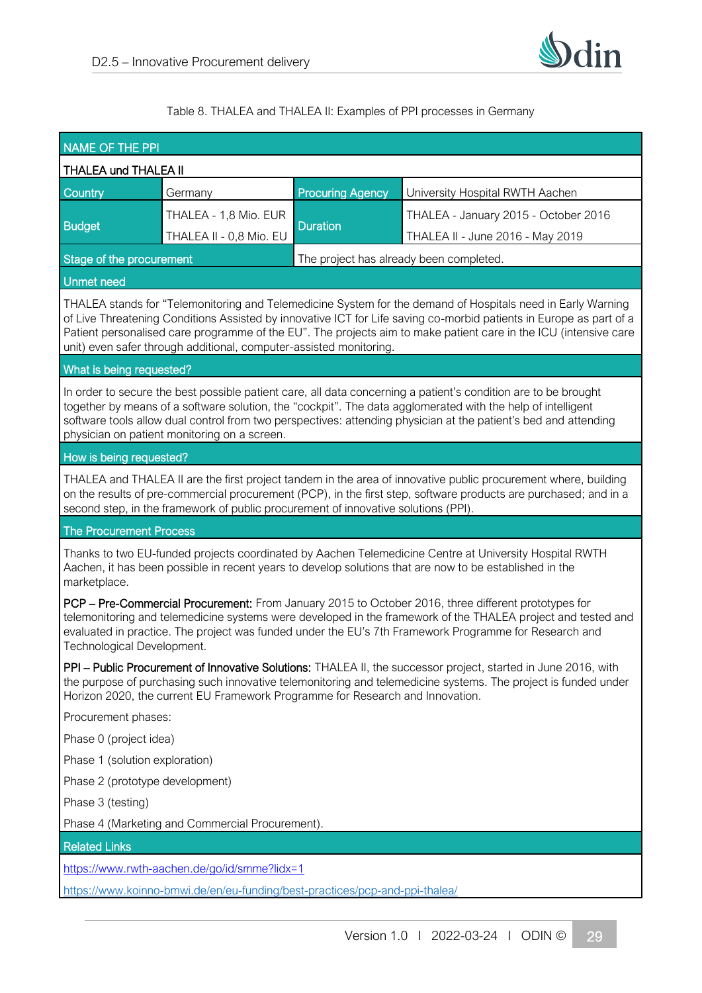

#### Table 8. THALEA and THALEA II: Examples of PPI processes in Germany

| <b>NAME OF THE PPI</b>                                                                                                                                                                                                                                                                                                                                                                                                       |                                                                             |                                         |                                                                                                                                                                                                                                                                                                                                                  |  |
|------------------------------------------------------------------------------------------------------------------------------------------------------------------------------------------------------------------------------------------------------------------------------------------------------------------------------------------------------------------------------------------------------------------------------|-----------------------------------------------------------------------------|-----------------------------------------|--------------------------------------------------------------------------------------------------------------------------------------------------------------------------------------------------------------------------------------------------------------------------------------------------------------------------------------------------|--|
| THALEA und THALEA II                                                                                                                                                                                                                                                                                                                                                                                                         |                                                                             |                                         |                                                                                                                                                                                                                                                                                                                                                  |  |
| Country                                                                                                                                                                                                                                                                                                                                                                                                                      | Germany                                                                     | <b>Procuring Agency</b>                 | University Hospital RWTH Aachen                                                                                                                                                                                                                                                                                                                  |  |
|                                                                                                                                                                                                                                                                                                                                                                                                                              | THALEA - 1,8 Mio. EUR                                                       |                                         | THALEA - January 2015 - October 2016                                                                                                                                                                                                                                                                                                             |  |
| <b>Budget</b>                                                                                                                                                                                                                                                                                                                                                                                                                | THALEA II - 0,8 Mio. EU                                                     | <b>Duration</b>                         | THALEA II - June 2016 - May 2019                                                                                                                                                                                                                                                                                                                 |  |
| Stage of the procurement                                                                                                                                                                                                                                                                                                                                                                                                     |                                                                             | The project has already been completed. |                                                                                                                                                                                                                                                                                                                                                  |  |
| <b>Unmet need</b>                                                                                                                                                                                                                                                                                                                                                                                                            |                                                                             |                                         |                                                                                                                                                                                                                                                                                                                                                  |  |
| THALEA stands for "Telemonitoring and Telemedicine System for the demand of Hospitals need in Early Warning<br>of Live Threatening Conditions Assisted by innovative ICT for Life saving co-morbid patients in Europe as part of a<br>Patient personalised care programme of the EU". The projects aim to make patient care in the ICU (intensive care<br>unit) even safer through additional, computer-assisted monitoring. |                                                                             |                                         |                                                                                                                                                                                                                                                                                                                                                  |  |
| What is being requested?                                                                                                                                                                                                                                                                                                                                                                                                     |                                                                             |                                         |                                                                                                                                                                                                                                                                                                                                                  |  |
|                                                                                                                                                                                                                                                                                                                                                                                                                              | physician on patient monitoring on a screen.                                |                                         | In order to secure the best possible patient care, all data concerning a patient's condition are to be brought<br>together by means of a software solution, the "cockpit". The data agglomerated with the help of intelligent<br>software tools allow dual control from two perspectives: attending physician at the patient's bed and attending |  |
| How is being requested?                                                                                                                                                                                                                                                                                                                                                                                                      |                                                                             |                                         |                                                                                                                                                                                                                                                                                                                                                  |  |
| THALEA and THALEA II are the first project tandem in the area of innovative public procurement where, building<br>on the results of pre-commercial procurement (PCP), in the first step, software products are purchased; and in a<br>second step, in the framework of public procurement of innovative solutions (PPI).                                                                                                     |                                                                             |                                         |                                                                                                                                                                                                                                                                                                                                                  |  |
| <b>The Procurement Process</b>                                                                                                                                                                                                                                                                                                                                                                                               |                                                                             |                                         |                                                                                                                                                                                                                                                                                                                                                  |  |
| Thanks to two EU-funded projects coordinated by Aachen Telemedicine Centre at University Hospital RWTH<br>Aachen, it has been possible in recent years to develop solutions that are now to be established in the<br>marketplace.                                                                                                                                                                                            |                                                                             |                                         |                                                                                                                                                                                                                                                                                                                                                  |  |
| PCP - Pre-Commercial Procurement: From January 2015 to October 2016, three different prototypes for<br>telemonitoring and telemedicine systems were developed in the framework of the THALEA project and tested and<br>evaluated in practice. The project was funded under the EU's 7th Framework Programme for Research and<br>Technological Development.                                                                   |                                                                             |                                         |                                                                                                                                                                                                                                                                                                                                                  |  |
| PPI - Public Procurement of Innovative Solutions: THALEA II, the successor project, started in June 2016, with<br>the purpose of purchasing such innovative telemonitoring and telemedicine systems. The project is funded under<br>Horizon 2020, the current EU Framework Programme for Research and Innovation.                                                                                                            |                                                                             |                                         |                                                                                                                                                                                                                                                                                                                                                  |  |
| Procurement phases:                                                                                                                                                                                                                                                                                                                                                                                                          |                                                                             |                                         |                                                                                                                                                                                                                                                                                                                                                  |  |
|                                                                                                                                                                                                                                                                                                                                                                                                                              | Phase 0 (project idea)                                                      |                                         |                                                                                                                                                                                                                                                                                                                                                  |  |
| Phase 1 (solution exploration)                                                                                                                                                                                                                                                                                                                                                                                               |                                                                             |                                         |                                                                                                                                                                                                                                                                                                                                                  |  |
| Phase 2 (prototype development)                                                                                                                                                                                                                                                                                                                                                                                              |                                                                             |                                         |                                                                                                                                                                                                                                                                                                                                                  |  |
| Phase 3 (testing)                                                                                                                                                                                                                                                                                                                                                                                                            |                                                                             |                                         |                                                                                                                                                                                                                                                                                                                                                  |  |
| Phase 4 (Marketing and Commercial Procurement).                                                                                                                                                                                                                                                                                                                                                                              |                                                                             |                                         |                                                                                                                                                                                                                                                                                                                                                  |  |
| <b>Related Links</b>                                                                                                                                                                                                                                                                                                                                                                                                         |                                                                             |                                         |                                                                                                                                                                                                                                                                                                                                                  |  |
| https://www.rwth-aachen.de/go/id/smme?lidx=1                                                                                                                                                                                                                                                                                                                                                                                 |                                                                             |                                         |                                                                                                                                                                                                                                                                                                                                                  |  |
|                                                                                                                                                                                                                                                                                                                                                                                                                              | https://www.koinno-bmwi.de/en/eu-funding/best-practices/pcp-and-ppi-thalea/ |                                         |                                                                                                                                                                                                                                                                                                                                                  |  |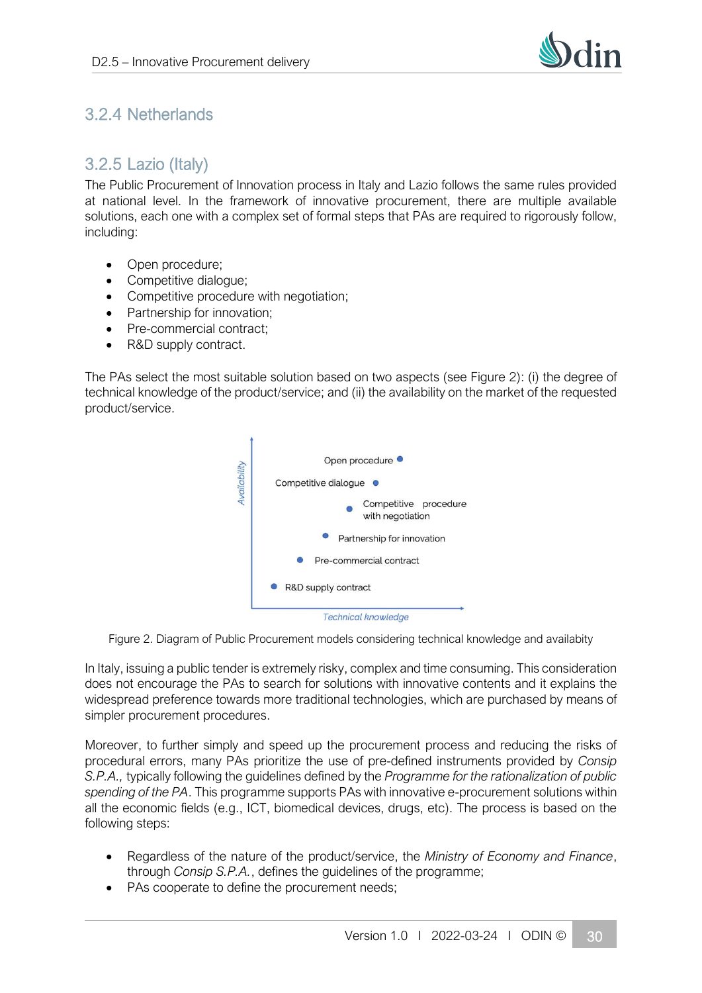

### <span id="page-29-0"></span>3.2.4 Netherlands

### <span id="page-29-1"></span>3.2.5 Lazio (Italy)

The Public Procurement of Innovation process in Italy and Lazio follows the same rules provided at national level. In the framework of innovative procurement, there are multiple available solutions, each one with a complex set of formal steps that PAs are required to rigorously follow, including:

- Open procedure;
- Competitive dialogue;
- Competitive procedure with negotiation;
- Partnership for innovation;
- Pre-commercial contract;
- R&D supply contract.

The PAs select the most suitable solution based on two aspects (see Figure 2): (i) the degree of technical knowledge of the product/service; and (ii) the availability on the market of the requested product/service.



<span id="page-29-2"></span>Figure 2. Diagram of Public Procurement models considering technical knowledge and availabity

In Italy, issuing a public tender is extremely risky, complex and time consuming. This consideration does not encourage the PAs to search for solutions with innovative contents and it explains the widespread preference towards more traditional technologies, which are purchased by means of simpler procurement procedures.

Moreover, to further simply and speed up the procurement process and reducing the risks of procedural errors, many PAs prioritize the use of pre-defined instruments provided by *Consip S.P.A.,* typically following the guidelines defined by the *Programme for the rationalization of public spending of the PA*. This programme supports PAs with innovative e-procurement solutions within all the economic fields (e.g., ICT, biomedical devices, drugs, etc). The process is based on the following steps:

- Regardless of the nature of the product/service, the *Ministry of Economy and Finance*, through *Consip S.P.A.*, defines the guidelines of the programme;
- PAs cooperate to define the procurement needs;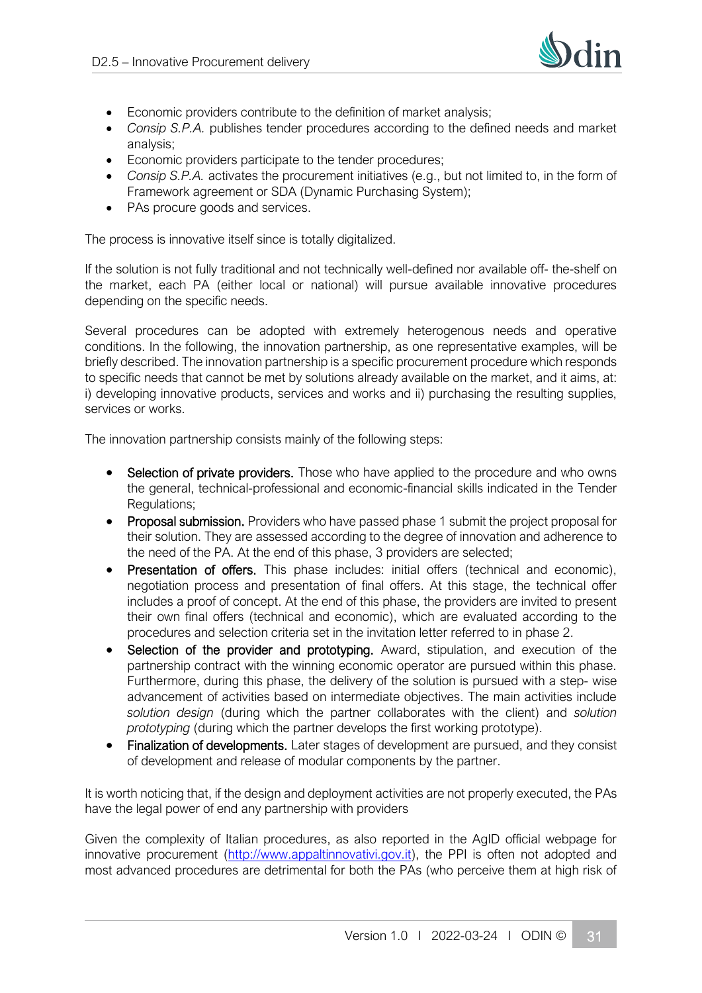

- Economic providers contribute to the definition of market analysis:
- *Consip S.P.A.* publishes tender procedures according to the defined needs and market analysis;
- Economic providers participate to the tender procedures;
- *Consip S.P.A.* activates the procurement initiatives (e.g., but not limited to, in the form of Framework agreement or SDA (Dynamic Purchasing System);
- PAs procure goods and services.

The process is innovative itself since is totally digitalized.

If the solution is not fully traditional and not technically well-defined nor available off- the-shelf on the market, each PA (either local or national) will pursue available innovative procedures depending on the specific needs.

Several procedures can be adopted with extremely heterogenous needs and operative conditions. In the following, the innovation partnership, as one representative examples, will be briefly described. The innovation partnership is a specific procurement procedure which responds to specific needs that cannot be met by solutions already available on the market, and it aims, at: i) developing innovative products, services and works and ii) purchasing the resulting supplies, services or works.

The innovation partnership consists mainly of the following steps:

- **Selection of private providers.** Those who have applied to the procedure and who owns the general, technical-professional and economic-financial skills indicated in the Tender Regulations;
- Proposal submission. Providers who have passed phase 1 submit the project proposal for their solution. They are assessed according to the degree of innovation and adherence to the need of the PA. At the end of this phase, 3 providers are selected;
- Presentation of offers. This phase includes: initial offers (technical and economic), negotiation process and presentation of final offers. At this stage, the technical offer includes a proof of concept. At the end of this phase, the providers are invited to present their own final offers (technical and economic), which are evaluated according to the procedures and selection criteria set in the invitation letter referred to in phase 2.
- Selection of the provider and prototyping. Award, stipulation, and execution of the partnership contract with the winning economic operator are pursued within this phase. Furthermore, during this phase, the delivery of the solution is pursued with a step- wise advancement of activities based on intermediate objectives. The main activities include *solution design* (during which the partner collaborates with the client) and *solution prototyping* (during which the partner develops the first working prototype).
- Finalization of developments. Later stages of development are pursued, and they consist of development and release of modular components by the partner.

It is worth noticing that, if the design and deployment activities are not properly executed, the PAs have the legal power of end any partnership with providers

Given the complexity of Italian procedures, as also reported in the AgID official webpage for innovative procurement [\(http://www.appaltinnovativi.gov.it\)](http://www.appaltinnovativi.gov.it/), the PPI is often not adopted and most advanced procedures are detrimental for both the PAs (who perceive them at high risk of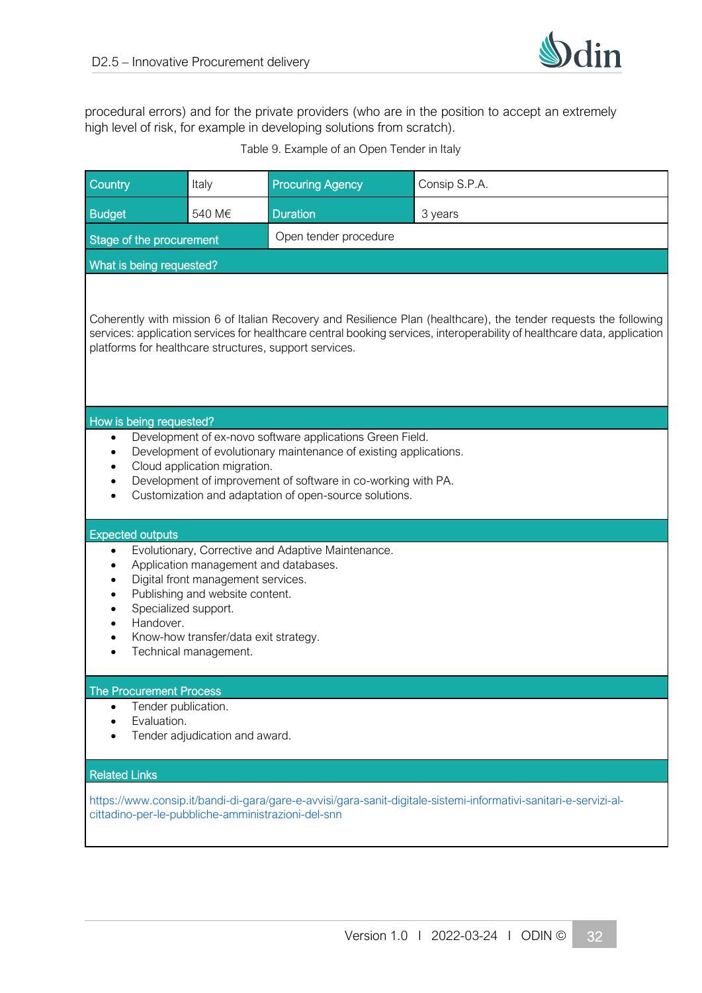

procedural errors) and for the private providers (who are in the position to accept an extremely high level of risk, for example in developing solutions from scratch).

| Country                                                                                                                                                                                                                                                                                                                                    | Italy  | <b>Procuring Agency</b> | Consip S.P.A. |
|--------------------------------------------------------------------------------------------------------------------------------------------------------------------------------------------------------------------------------------------------------------------------------------------------------------------------------------------|--------|-------------------------|---------------|
| <b>Budget</b>                                                                                                                                                                                                                                                                                                                              | 540 M€ | <b>Duration</b>         | 3 years       |
| Stage of the procurement                                                                                                                                                                                                                                                                                                                   |        | Open tender procedure   |               |
| What is being requested?                                                                                                                                                                                                                                                                                                                   |        |                         |               |
| Coherently with mission 6 of Italian Recovery and Resilience Plan (healthcare), the tender requests the following<br>services: application services for healthcare central booking services, interoperability of healthcare data, application<br>platforms for healthcare structures, support services.                                    |        |                         |               |
| How is being requested?                                                                                                                                                                                                                                                                                                                    |        |                         |               |
| Development of ex-novo software applications Green Field.<br>$\bullet$<br>Development of evolutionary maintenance of existing applications.<br>$\bullet$<br>Cloud application migration.<br>٠<br>Development of improvement of software in co-working with PA.<br>Customization and adaptation of open-source solutions.                   |        |                         |               |
| <b>Expected outputs</b><br>Evolutionary, Corrective and Adaptive Maintenance.<br>$\bullet$<br>Application management and databases.<br>$\bullet$<br>Digital front management services.<br>٠<br>Publishing and website content.<br>٠<br>Specialized support.<br>Handover.<br>Know-how transfer/data exit strategy.<br>Technical management. |        |                         |               |
| <b>The Procurement Process</b><br>Tender publication.<br>٠<br>Evaluation.<br>Tender adjudication and award.                                                                                                                                                                                                                                |        |                         |               |
| <b>Related Links</b>                                                                                                                                                                                                                                                                                                                       |        |                         |               |
| https://www.consip.it/bandi-di-gara/gare-e-avvisi/gara-sanit-digitale-sistemi-informativi-sanitari-e-servizi-al-<br>cittadino-per-le-pubbliche-amministrazioni-del-snn                                                                                                                                                                     |        |                         |               |

Table 9. Example of an Open Tender in Italy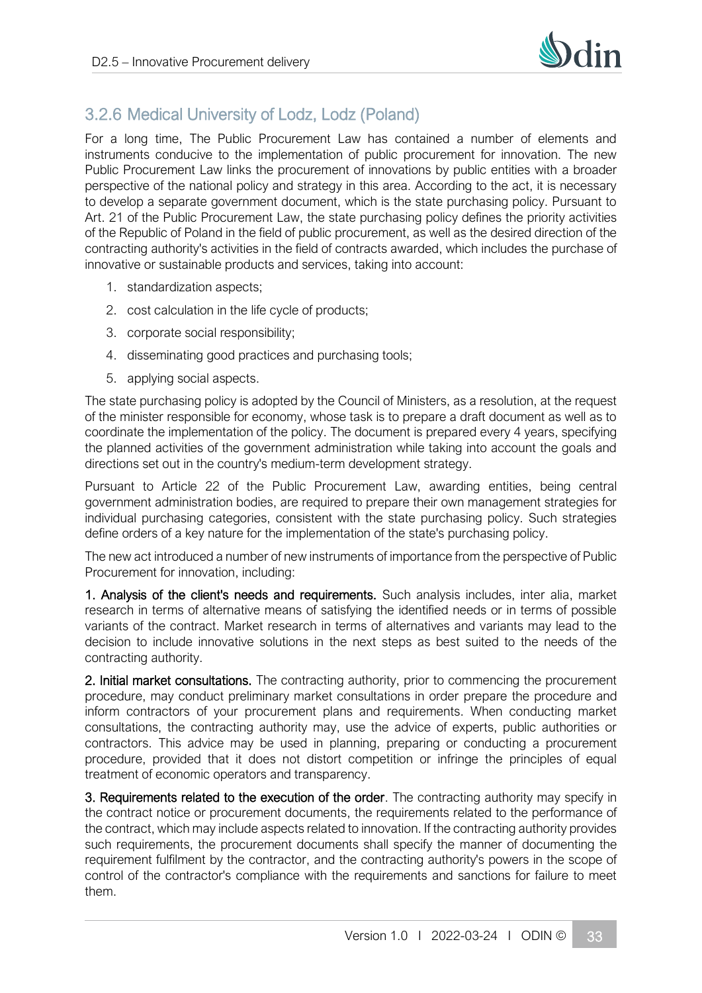

### <span id="page-32-0"></span>3.2.6 Medical University of Lodz, Lodz (Poland)

For a long time, The Public Procurement Law has contained a number of elements and instruments conducive to the implementation of public procurement for innovation. The new Public Procurement Law links the procurement of innovations by public entities with a broader perspective of the national policy and strategy in this area. According to the act, it is necessary to develop a separate government document, which is the state purchasing policy. Pursuant to Art. 21 of the Public Procurement Law, the state purchasing policy defines the priority activities of the Republic of Poland in the field of public procurement, as well as the desired direction of the contracting authority's activities in the field of contracts awarded, which includes the purchase of innovative or sustainable products and services, taking into account:

- 1. standardization aspects;
- 2. cost calculation in the life cycle of products;
- 3. corporate social responsibility;
- 4. disseminating good practices and purchasing tools;
- 5. applying social aspects.

The state purchasing policy is adopted by the Council of Ministers, as a resolution, at the request of the minister responsible for economy, whose task is to prepare a draft document as well as to coordinate the implementation of the policy. The document is prepared every 4 years, specifying the planned activities of the government administration while taking into account the goals and directions set out in the country's medium-term development strategy.

Pursuant to Article 22 of the Public Procurement Law, awarding entities, being central government administration bodies, are required to prepare their own management strategies for individual purchasing categories, consistent with the state purchasing policy. Such strategies define orders of a key nature for the implementation of the state's purchasing policy.

The new act introduced a number of new instruments of importance from the perspective of Public Procurement for innovation, including:

1. Analysis of the client's needs and requirements. Such analysis includes, inter alia, market research in terms of alternative means of satisfying the identified needs or in terms of possible variants of the contract. Market research in terms of alternatives and variants may lead to the decision to include innovative solutions in the next steps as best suited to the needs of the contracting authority.

2. Initial market consultations. The contracting authority, prior to commencing the procurement procedure, may conduct preliminary market consultations in order prepare the procedure and inform contractors of your procurement plans and requirements. When conducting market consultations, the contracting authority may, use the advice of experts, public authorities or contractors. This advice may be used in planning, preparing or conducting a procurement procedure, provided that it does not distort competition or infringe the principles of equal treatment of economic operators and transparency.

3. Requirements related to the execution of the order. The contracting authority may specify in the contract notice or procurement documents, the requirements related to the performance of the contract, which may include aspects related to innovation. If the contracting authority provides such requirements, the procurement documents shall specify the manner of documenting the requirement fulfilment by the contractor, and the contracting authority's powers in the scope of control of the contractor's compliance with the requirements and sanctions for failure to meet them.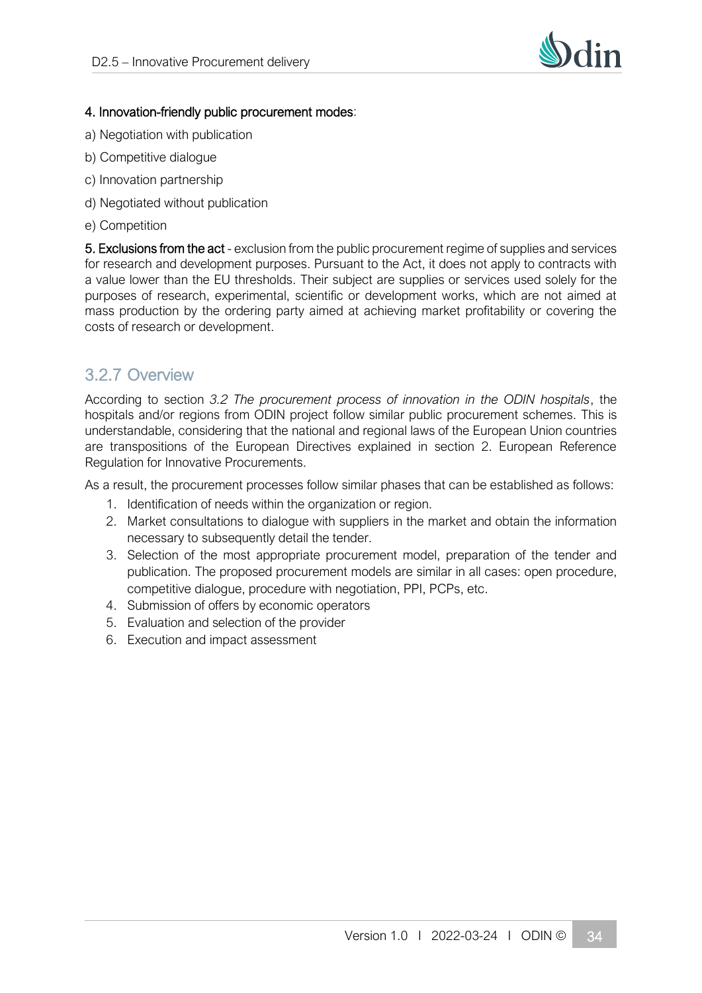

#### 4. Innovation-friendly public procurement modes:

- a) Negotiation with publication
- b) Competitive dialogue
- c) Innovation partnership
- d) Negotiated without publication
- e) Competition

5. Exclusions from the act - exclusion from the public procurement regime of supplies and services for research and development purposes. Pursuant to the Act, it does not apply to contracts with a value lower than the EU thresholds. Their subject are supplies or services used solely for the purposes of research, experimental, scientific or development works, which are not aimed at mass production by the ordering party aimed at achieving market profitability or covering the costs of research or development.

### <span id="page-33-0"></span>3.2.7 Overview

According to section *3.2 The procurement process of innovation in the ODIN hospitals*, the hospitals and/or regions from ODIN project follow similar public procurement schemes. This is understandable, considering that the national and regional laws of the European Union countries are transpositions of the European Directives explained in section 2. European Reference Regulation for Innovative Procurements.

As a result, the procurement processes follow similar phases that can be established as follows:

- 1. Identification of needs within the organization or region.
- 2. Market consultations to dialogue with suppliers in the market and obtain the information necessary to subsequently detail the tender.
- 3. Selection of the most appropriate procurement model, preparation of the tender and publication. The proposed procurement models are similar in all cases: open procedure, competitive dialogue, procedure with negotiation, PPI, PCPs, etc.
- 4. Submission of offers by economic operators
- 5. Evaluation and selection of the provider
- 6. Execution and impact assessment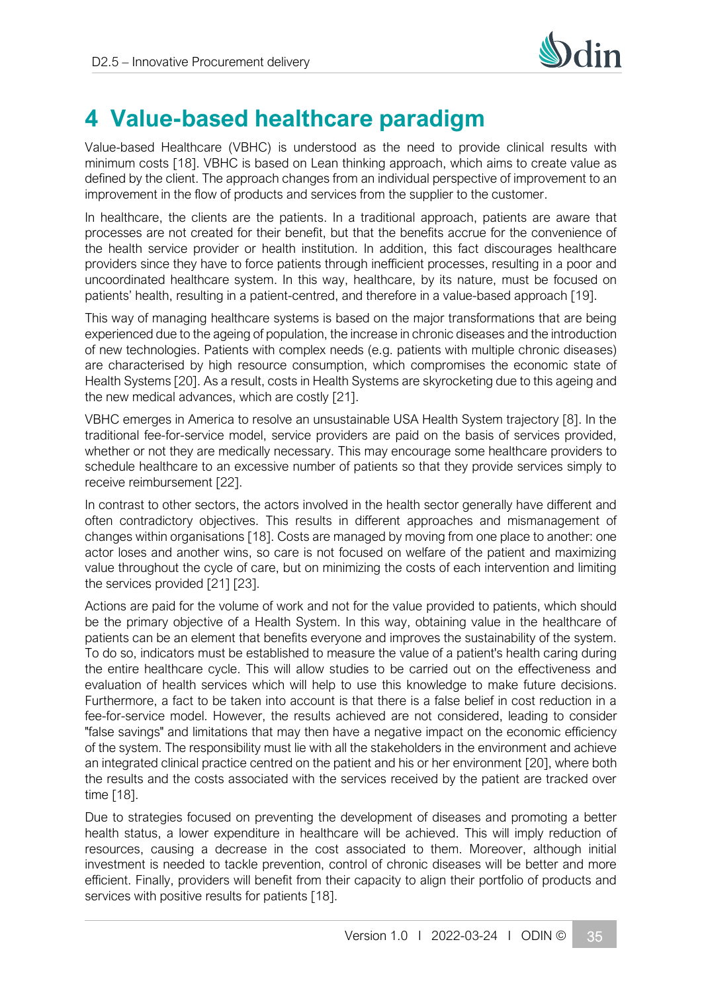

## <span id="page-34-0"></span>**4 Value-based healthcare paradigm**

Value-based Healthcare (VBHC) is understood as the need to provide clinical results with minimum costs [18]. VBHC is based on Lean thinking approach, which aims to create value as defined by the client. The approach changes from an individual perspective of improvement to an improvement in the flow of products and services from the supplier to the customer.

In healthcare, the clients are the patients. In a traditional approach, patients are aware that processes are not created for their benefit, but that the benefits accrue for the convenience of the health service provider or health institution. In addition, this fact discourages healthcare providers since they have to force patients through inefficient processes, resulting in a poor and uncoordinated healthcare system. In this way, healthcare, by its nature, must be focused on patients' health, resulting in a patient-centred, and therefore in a value-based approach [19].

This way of managing healthcare systems is based on the major transformations that are being experienced due to the ageing of population, the increase in chronic diseases and the introduction of new technologies. Patients with complex needs (e.g. patients with multiple chronic diseases) are characterised by high resource consumption, which compromises the economic state of Health Systems [20]. As a result, costs in Health Systems are skyrocketing due to this ageing and the new medical advances, which are costly [21].

VBHC emerges in America to resolve an unsustainable USA Health System trajectory [8]. In the traditional fee-for-service model, service providers are paid on the basis of services provided, whether or not they are medically necessary. This may encourage some healthcare providers to schedule healthcare to an excessive number of patients so that they provide services simply to receive reimbursement [22].

In contrast to other sectors, the actors involved in the health sector generally have different and often contradictory objectives. This results in different approaches and mismanagement of changes within organisations [18]. Costs are managed by moving from one place to another: one actor loses and another wins, so care is not focused on welfare of the patient and maximizing value throughout the cycle of care, but on minimizing the costs of each intervention and limiting the services provided [21] [23].

Actions are paid for the volume of work and not for the value provided to patients, which should be the primary objective of a Health System. In this way, obtaining value in the healthcare of patients can be an element that benefits everyone and improves the sustainability of the system. To do so, indicators must be established to measure the value of a patient's health caring during the entire healthcare cycle. This will allow studies to be carried out on the effectiveness and evaluation of health services which will help to use this knowledge to make future decisions. Furthermore, a fact to be taken into account is that there is a false belief in cost reduction in a fee-for-service model. However, the results achieved are not considered, leading to consider "false savings" and limitations that may then have a negative impact on the economic efficiency of the system. The responsibility must lie with all the stakeholders in the environment and achieve an integrated clinical practice centred on the patient and his or her environment [20], where both the results and the costs associated with the services received by the patient are tracked over time [18].

Due to strategies focused on preventing the development of diseases and promoting a better health status, a lower expenditure in healthcare will be achieved. This will imply reduction of resources, causing a decrease in the cost associated to them. Moreover, although initial investment is needed to tackle prevention, control of chronic diseases will be better and more efficient. Finally, providers will benefit from their capacity to align their portfolio of products and services with positive results for patients [18].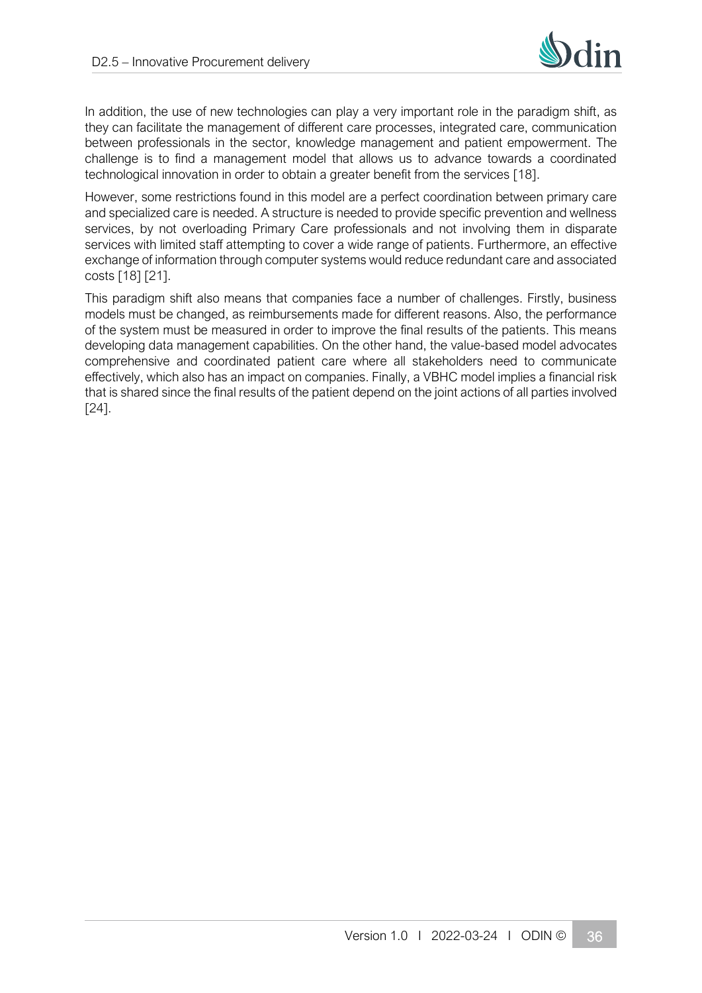

In addition, the use of new technologies can play a very important role in the paradigm shift, as they can facilitate the management of different care processes, integrated care, communication between professionals in the sector, knowledge management and patient empowerment. The challenge is to find a management model that allows us to advance towards a coordinated technological innovation in order to obtain a greater benefit from the services [18].

However, some restrictions found in this model are a perfect coordination between primary care and specialized care is needed. A structure is needed to provide specific prevention and wellness services, by not overloading Primary Care professionals and not involving them in disparate services with limited staff attempting to cover a wide range of patients. Furthermore, an effective exchange of information through computer systems would reduce redundant care and associated costs [18] [21].

This paradigm shift also means that companies face a number of challenges. Firstly, business models must be changed, as reimbursements made for different reasons. Also, the performance of the system must be measured in order to improve the final results of the patients. This means developing data management capabilities. On the other hand, the value-based model advocates comprehensive and coordinated patient care where all stakeholders need to communicate effectively, which also has an impact on companies. Finally, a VBHC model implies a financial risk that is shared since the final results of the patient depend on the joint actions of all parties involved [24].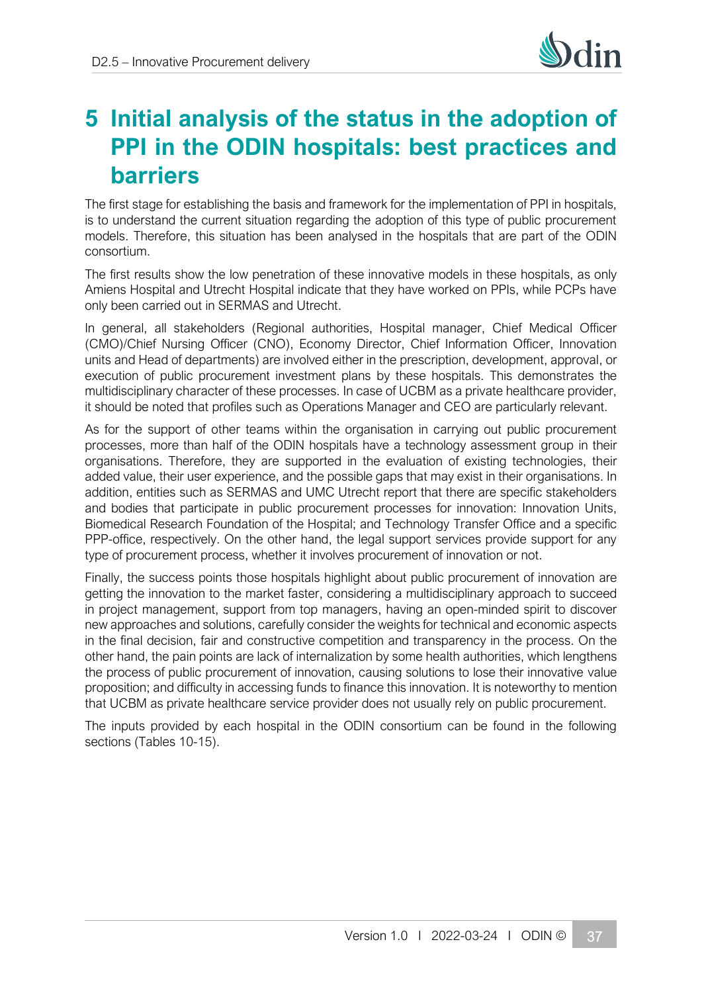

## <span id="page-36-0"></span>**5 Initial analysis of the status in the adoption of PPI in the ODIN hospitals: best practices and barriers**

The first stage for establishing the basis and framework for the implementation of PPI in hospitals, is to understand the current situation regarding the adoption of this type of public procurement models. Therefore, this situation has been analysed in the hospitals that are part of the ODIN consortium.

The first results show the low penetration of these innovative models in these hospitals, as only Amiens Hospital and Utrecht Hospital indicate that they have worked on PPIs, while PCPs have only been carried out in SERMAS and Utrecht.

In general, all stakeholders (Regional authorities, Hospital manager, Chief Medical Officer (CMO)/Chief Nursing Officer (CNO), Economy Director, Chief Information Officer, Innovation units and Head of departments) are involved either in the prescription, development, approval, or execution of public procurement investment plans by these hospitals. This demonstrates the multidisciplinary character of these processes. In case of UCBM as a private healthcare provider, it should be noted that profiles such as Operations Manager and CEO are particularly relevant.

As for the support of other teams within the organisation in carrying out public procurement processes, more than half of the ODIN hospitals have a technology assessment group in their organisations. Therefore, they are supported in the evaluation of existing technologies, their added value, their user experience, and the possible gaps that may exist in their organisations. In addition, entities such as SERMAS and UMC Utrecht report that there are specific stakeholders and bodies that participate in public procurement processes for innovation: Innovation Units, Biomedical Research Foundation of the Hospital; and Technology Transfer Office and a specific PPP-office, respectively. On the other hand, the legal support services provide support for any type of procurement process, whether it involves procurement of innovation or not.

Finally, the success points those hospitals highlight about public procurement of innovation are getting the innovation to the market faster, considering a multidisciplinary approach to succeed in project management, support from top managers, having an open-minded spirit to discover new approaches and solutions, carefully consider the weights for technical and economic aspects in the final decision, fair and constructive competition and transparency in the process. On the other hand, the pain points are lack of internalization by some health authorities, which lengthens the process of public procurement of innovation, causing solutions to lose their innovative value proposition; and difficulty in accessing funds to finance this innovation. It is noteworthy to mention that UCBM as private healthcare service provider does not usually rely on public procurement.

The inputs provided by each hospital in the ODIN consortium can be found in the following sections (Tables 10-15).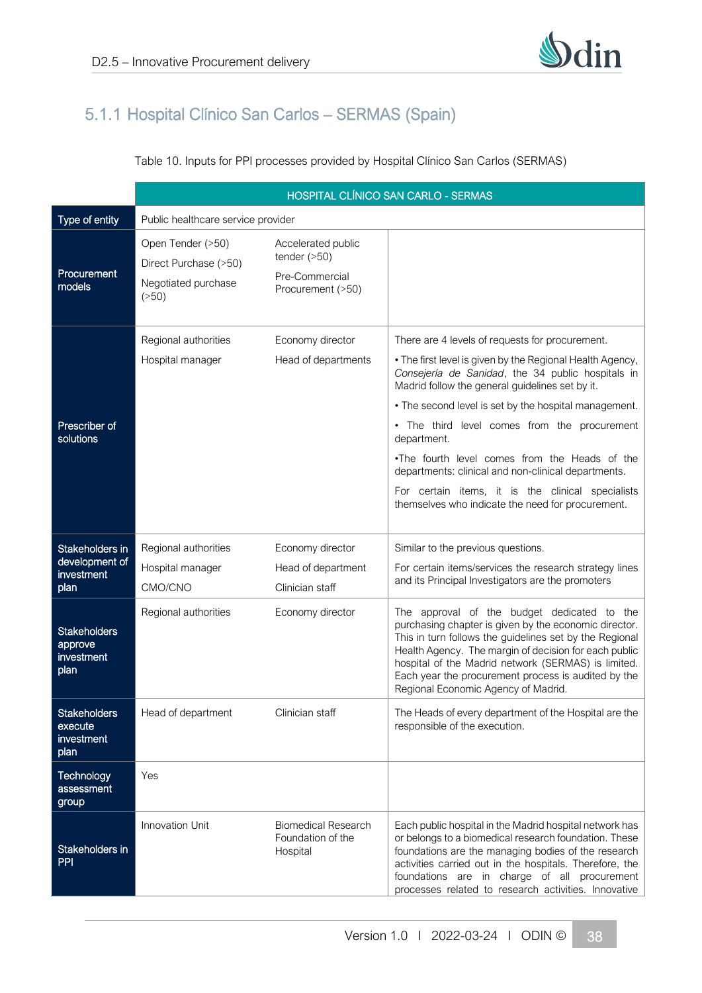

## <span id="page-37-0"></span>5.1.1 Hospital Clínico San Carlos – SERMAS (Spain)

#### Table 10. Inputs for PPI processes provided by Hospital Clínico San Carlos (SERMAS)

|                                                      | HOSPITAL CLÍNICO SAN CARLO - SERMAS                                         |                                                                              |                                                                                                                                                                                                                                                                                                                                                                               |
|------------------------------------------------------|-----------------------------------------------------------------------------|------------------------------------------------------------------------------|-------------------------------------------------------------------------------------------------------------------------------------------------------------------------------------------------------------------------------------------------------------------------------------------------------------------------------------------------------------------------------|
| Type of entity                                       | Public healthcare service provider                                          |                                                                              |                                                                                                                                                                                                                                                                                                                                                                               |
| Procurement<br>models                                | Open Tender (>50)<br>Direct Purchase (>50)<br>Negotiated purchase<br>( >50) | Accelerated public<br>tender $($ >50)<br>Pre-Commercial<br>Procurement (>50) |                                                                                                                                                                                                                                                                                                                                                                               |
|                                                      | Regional authorities                                                        | Economy director                                                             | There are 4 levels of requests for procurement.                                                                                                                                                                                                                                                                                                                               |
|                                                      | Hospital manager                                                            | Head of departments                                                          | • The first level is given by the Regional Health Agency,<br>Consejería de Sanidad, the 34 public hospitals in<br>Madrid follow the general guidelines set by it.                                                                                                                                                                                                             |
|                                                      |                                                                             |                                                                              | • The second level is set by the hospital management.                                                                                                                                                                                                                                                                                                                         |
| Prescriber of<br>solutions                           |                                                                             |                                                                              | • The third level comes from the procurement<br>department.                                                                                                                                                                                                                                                                                                                   |
|                                                      |                                                                             |                                                                              | . The fourth level comes from the Heads of the<br>departments: clinical and non-clinical departments.                                                                                                                                                                                                                                                                         |
|                                                      |                                                                             |                                                                              | For certain items, it is the clinical specialists<br>themselves who indicate the need for procurement.                                                                                                                                                                                                                                                                        |
| Stakeholders in                                      | Regional authorities                                                        | Economy director                                                             | Similar to the previous questions.                                                                                                                                                                                                                                                                                                                                            |
| development of<br>investment                         | Hospital manager                                                            | Head of department                                                           | For certain items/services the research strategy lines                                                                                                                                                                                                                                                                                                                        |
| plan                                                 | CMO/CNO                                                                     | Clinician staff                                                              | and its Principal Investigators are the promoters                                                                                                                                                                                                                                                                                                                             |
| <b>Stakeholders</b><br>approve<br>investment<br>plan | Regional authorities                                                        | Economy director                                                             | The approval of the budget dedicated to the<br>purchasing chapter is given by the economic director.<br>This in turn follows the guidelines set by the Regional<br>Health Agency. The margin of decision for each public<br>hospital of the Madrid network (SERMAS) is limited.<br>Each year the procurement process is audited by the<br>Regional Economic Agency of Madrid. |
| <b>Stakeholders</b><br>execute<br>investment<br>plan | Head of department                                                          | Clinician staff                                                              | The Heads of every department of the Hospital are the<br>responsible of the execution.                                                                                                                                                                                                                                                                                        |
| Technology<br>assessment<br>group                    | Yes                                                                         |                                                                              |                                                                                                                                                                                                                                                                                                                                                                               |
| Stakeholders in<br><b>PPI</b>                        | Innovation Unit                                                             | <b>Biomedical Research</b><br>Foundation of the<br>Hospital                  | Each public hospital in the Madrid hospital network has<br>or belongs to a biomedical research foundation. These<br>foundations are the managing bodies of the research<br>activities carried out in the hospitals. Therefore, the<br>foundations are in charge of all procurement<br>processes related to research activities. Innovative                                    |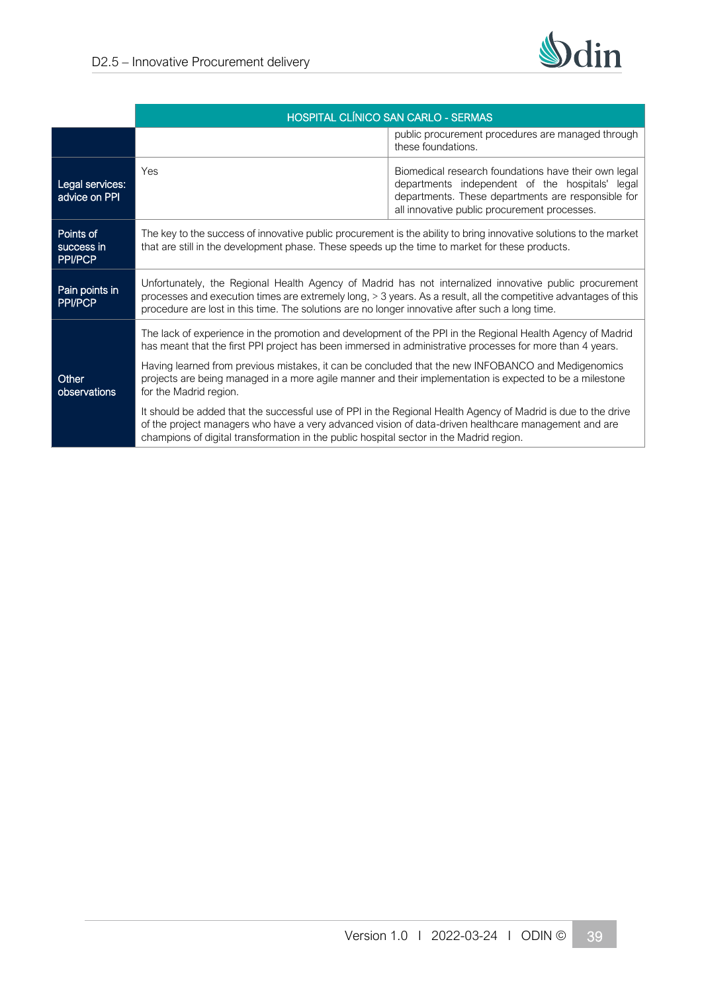

|                                           | <b>HOSPITAL CLÍNICO SAN CARLO - SERMAS</b>                                                                                                                                                                                                                                                                                    |                                                                                                                                                                                                               |  |
|-------------------------------------------|-------------------------------------------------------------------------------------------------------------------------------------------------------------------------------------------------------------------------------------------------------------------------------------------------------------------------------|---------------------------------------------------------------------------------------------------------------------------------------------------------------------------------------------------------------|--|
|                                           |                                                                                                                                                                                                                                                                                                                               | public procurement procedures are managed through<br>these foundations.                                                                                                                                       |  |
| Legal services:<br>advice on PPI          | Yes                                                                                                                                                                                                                                                                                                                           | Biomedical research foundations have their own legal<br>departments independent of the hospitals' legal<br>departments. These departments are responsible for<br>all innovative public procurement processes. |  |
| Points of<br>success in<br><b>PPI/PCP</b> | The key to the success of innovative public procurement is the ability to bring innovative solutions to the market<br>that are still in the development phase. These speeds up the time to market for these products.                                                                                                         |                                                                                                                                                                                                               |  |
| Pain points in<br><b>PPI/PCP</b>          | Unfortunately, the Regional Health Agency of Madrid has not internalized innovative public procurement<br>processes and execution times are extremely long, > 3 years. As a result, all the competitive advantages of this<br>procedure are lost in this time. The solutions are no longer innovative after such a long time. |                                                                                                                                                                                                               |  |
|                                           | The lack of experience in the promotion and development of the PPI in the Regional Health Agency of Madrid<br>has meant that the first PPI project has been immersed in administrative processes for more than 4 years.                                                                                                       |                                                                                                                                                                                                               |  |
| Other<br>observations                     | Having learned from previous mistakes, it can be concluded that the new INFOBANCO and Medigenomics<br>projects are being managed in a more agile manner and their implementation is expected to be a milestone<br>for the Madrid region.                                                                                      |                                                                                                                                                                                                               |  |
|                                           | It should be added that the successful use of PPI in the Regional Health Agency of Madrid is due to the drive<br>of the project managers who have a very advanced vision of data-driven healthcare management and are<br>champions of digital transformation in the public hospital sector in the Madrid region.              |                                                                                                                                                                                                               |  |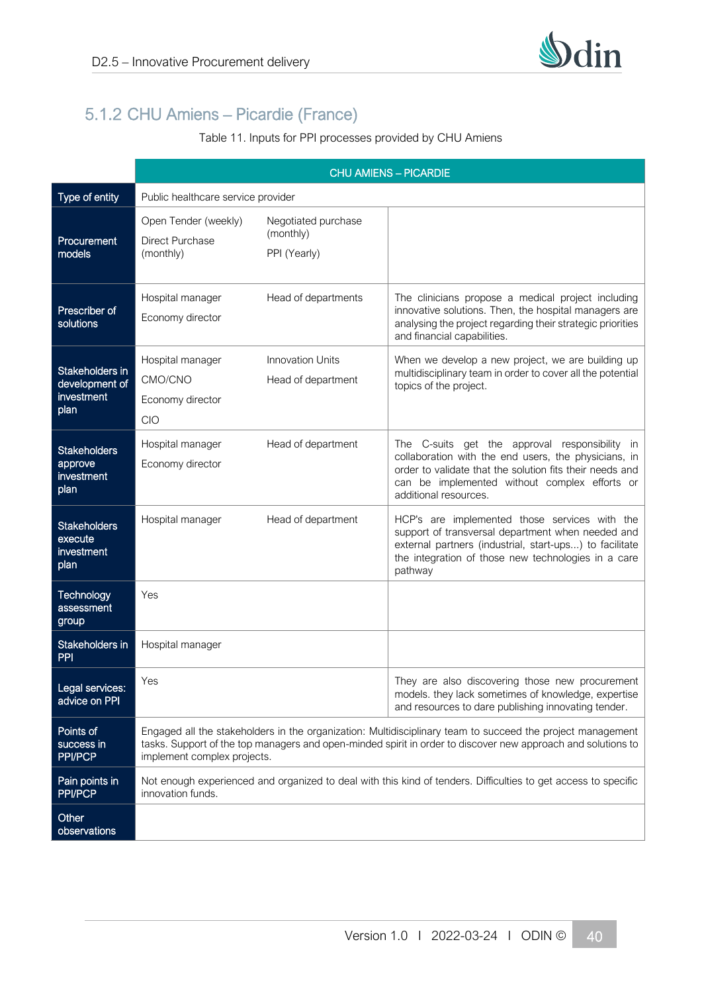

## <span id="page-39-0"></span>5.1.2 CHU Amiens – Picardie (France)

#### Table 11. Inputs for PPI processes provided by CHU Amiens

|                                                         | <b>CHU AMIENS - PICARDIE</b>                           |                                                  |                                                                                                                                                                                                                                              |
|---------------------------------------------------------|--------------------------------------------------------|--------------------------------------------------|----------------------------------------------------------------------------------------------------------------------------------------------------------------------------------------------------------------------------------------------|
| Type of entity                                          | Public healthcare service provider                     |                                                  |                                                                                                                                                                                                                                              |
| Procurement<br>models                                   | Open Tender (weekly)<br>Direct Purchase<br>(monthly)   | Negotiated purchase<br>(monthly)<br>PPI (Yearly) |                                                                                                                                                                                                                                              |
| Prescriber of<br>solutions                              | Hospital manager<br>Economy director                   | Head of departments                              | The clinicians propose a medical project including<br>innovative solutions. Then, the hospital managers are<br>analysing the project regarding their strategic priorities<br>and financial capabilities.                                     |
| Stakeholders in<br>development of<br>investment<br>plan | Hospital manager<br>CMO/CNO<br>Economy director<br>CIO | <b>Innovation Units</b><br>Head of department    | When we develop a new project, we are building up<br>multidisciplinary team in order to cover all the potential<br>topics of the project.                                                                                                    |
| <b>Stakeholders</b><br>approve<br>investment<br>plan    | Hospital manager<br>Economy director                   | Head of department                               | The C-suits get the approval responsibility in<br>collaboration with the end users, the physicians, in<br>order to validate that the solution fits their needs and<br>can be implemented without complex efforts or<br>additional resources. |
| <b>Stakeholders</b><br>execute<br>investment<br>plan    | Hospital manager                                       | Head of department                               | HCP's are implemented those services with the<br>support of transversal department when needed and<br>external partners (industrial, start-ups) to facilitate<br>the integration of those new technologies in a care<br>pathway              |
| Technology<br>assessment<br>group                       | Yes                                                    |                                                  |                                                                                                                                                                                                                                              |
| Stakeholders in<br>$\overline{PP}$                      | Hospital manager                                       |                                                  |                                                                                                                                                                                                                                              |
| Legal services:<br>advice on PPI                        | Yes                                                    |                                                  | They are also discovering those new procurement<br>models. they lack sometimes of knowledge, expertise<br>and resources to dare publishing innovating tender.                                                                                |
| Points of<br>success in<br><b>PPI/PCP</b>               | implement complex projects.                            |                                                  | Engaged all the stakeholders in the organization: Multidisciplinary team to succeed the project management<br>tasks. Support of the top managers and open-minded spirit in order to discover new approach and solutions to                   |
| Pain points in<br>PPI/PCP                               | innovation funds.                                      |                                                  | Not enough experienced and organized to deal with this kind of tenders. Difficulties to get access to specific                                                                                                                               |
| Other<br>observations                                   |                                                        |                                                  |                                                                                                                                                                                                                                              |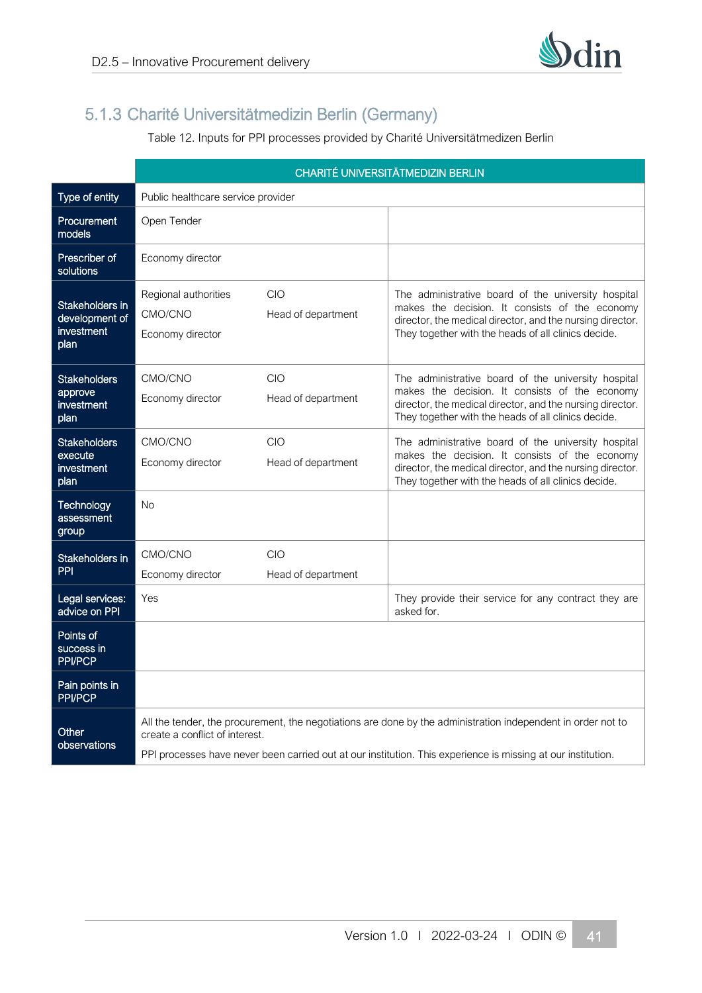

### <span id="page-40-0"></span>5.1.3 Charité Universitätmedizin Berlin (Germany)

Table 12. Inputs for PPI processes provided by Charité Universitätmedizen Berlin

|                                                         | CHARITÉ UNIVERSITÄTMEDIZIN BERLIN                   |                           |                                                                                                                                                                                                                              |
|---------------------------------------------------------|-----------------------------------------------------|---------------------------|------------------------------------------------------------------------------------------------------------------------------------------------------------------------------------------------------------------------------|
| Type of entity                                          | Public healthcare service provider                  |                           |                                                                                                                                                                                                                              |
| Procurement<br>models                                   | Open Tender                                         |                           |                                                                                                                                                                                                                              |
| Prescriber of<br>solutions                              | Economy director                                    |                           |                                                                                                                                                                                                                              |
| Stakeholders in<br>development of<br>investment<br>plan | Regional authorities<br>CMO/CNO<br>Economy director | CIO<br>Head of department | The administrative board of the university hospital<br>makes the decision. It consists of the economy<br>director, the medical director, and the nursing director.<br>They together with the heads of all clinics decide.    |
| <b>Stakeholders</b><br>approve<br>investment<br>plan    | CMO/CNO<br>Economy director                         | CIO<br>Head of department | The administrative board of the university hospital<br>makes the decision. It consists of the economy<br>director, the medical director, and the nursing director.<br>They together with the heads of all clinics decide.    |
| <b>Stakeholders</b><br>execute<br>investment<br>plan    | CMO/CNO<br>Economy director                         | CIO<br>Head of department | The administrative board of the university hospital<br>makes the decision. It consists of the economy<br>director, the medical director, and the nursing director.<br>They together with the heads of all clinics decide.    |
| Technology<br>assessment<br>group                       | No                                                  |                           |                                                                                                                                                                                                                              |
| Stakeholders in<br><b>PPI</b>                           | CMO/CNO<br>Economy director                         | CIO<br>Head of department |                                                                                                                                                                                                                              |
| Legal services:<br>advice on PPI                        | Yes                                                 |                           | They provide their service for any contract they are<br>asked for.                                                                                                                                                           |
| Points of<br>success in<br><b>PPI/PCP</b>               |                                                     |                           |                                                                                                                                                                                                                              |
| Pain points in<br>PPI/PCP                               |                                                     |                           |                                                                                                                                                                                                                              |
| Other<br>observations                                   | create a conflict of interest.                      |                           | All the tender, the procurement, the negotiations are done by the administration independent in order not to<br>PPI processes have never been carried out at our institution. This experience is missing at our institution. |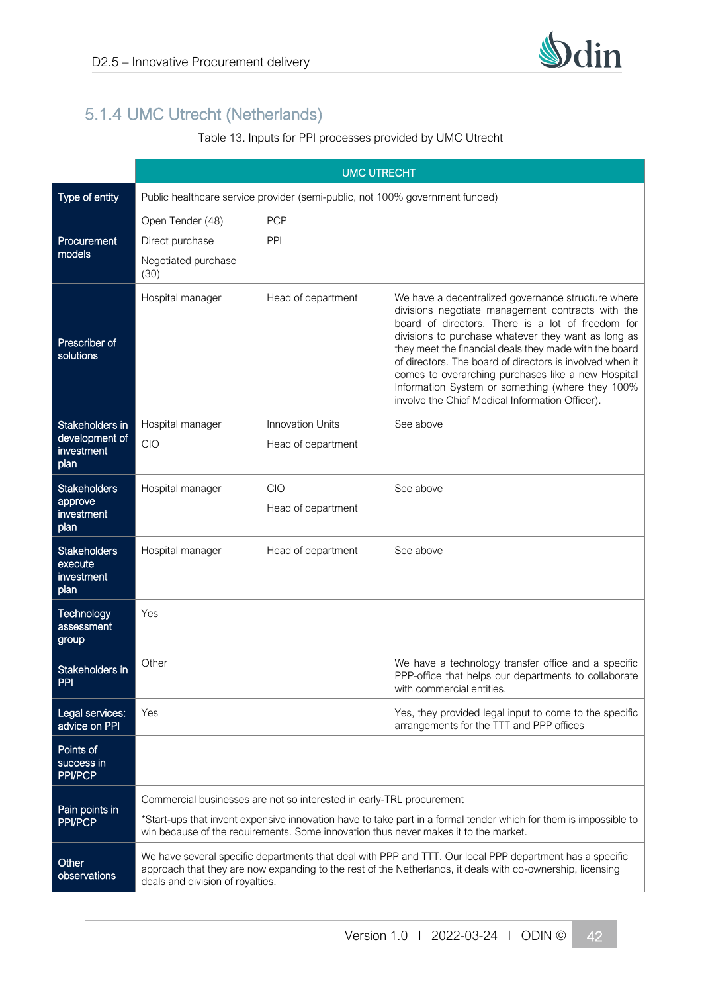

## <span id="page-41-0"></span>5.1.4 UMC Utrecht (Netherlands)

#### Table 13. Inputs for PPI processes provided by UMC Utrecht

|                                                         | <b>UMC UTRECHT</b>                                                 |                                                                              |                                                                                                                                                                                                                                                                                                                                                                                                                                                                                                        |
|---------------------------------------------------------|--------------------------------------------------------------------|------------------------------------------------------------------------------|--------------------------------------------------------------------------------------------------------------------------------------------------------------------------------------------------------------------------------------------------------------------------------------------------------------------------------------------------------------------------------------------------------------------------------------------------------------------------------------------------------|
| Type of entity                                          |                                                                    | Public healthcare service provider (semi-public, not 100% government funded) |                                                                                                                                                                                                                                                                                                                                                                                                                                                                                                        |
| Procurement<br>models                                   | Open Tender (48)<br>Direct purchase<br>Negotiated purchase<br>(30) | <b>PCP</b><br>PPI                                                            |                                                                                                                                                                                                                                                                                                                                                                                                                                                                                                        |
| Prescriber of<br>solutions                              | Hospital manager                                                   | Head of department                                                           | We have a decentralized governance structure where<br>divisions negotiate management contracts with the<br>board of directors. There is a lot of freedom for<br>divisions to purchase whatever they want as long as<br>they meet the financial deals they made with the board<br>of directors. The board of directors is involved when it<br>comes to overarching purchases like a new Hospital<br>Information System or something (where they 100%<br>involve the Chief Medical Information Officer). |
| Stakeholders in<br>development of<br>investment<br>plan | Hospital manager<br>CIO                                            | <b>Innovation Units</b><br>Head of department                                | See above                                                                                                                                                                                                                                                                                                                                                                                                                                                                                              |
| <b>Stakeholders</b><br>approve<br>investment<br>plan    | Hospital manager                                                   | CIO<br>Head of department                                                    | See above                                                                                                                                                                                                                                                                                                                                                                                                                                                                                              |
| Stakeholders<br>execute<br>investment<br>plan           | Hospital manager                                                   | Head of department                                                           | See above                                                                                                                                                                                                                                                                                                                                                                                                                                                                                              |
| <b>Technology</b><br>assessment<br>group                | Yes                                                                |                                                                              |                                                                                                                                                                                                                                                                                                                                                                                                                                                                                                        |
| Stakeholders in<br><b>PPI</b>                           | Other                                                              |                                                                              | We have a technology transfer office and a specific<br>PPP-office that helps our departments to collaborate<br>with commercial entities.                                                                                                                                                                                                                                                                                                                                                               |
| Legal services:<br>advice on PPI                        | Yes                                                                |                                                                              | Yes, they provided legal input to come to the specific<br>arrangements for the TTT and PPP offices                                                                                                                                                                                                                                                                                                                                                                                                     |
| Points of<br>success in<br><b>PPI/PCP</b>               |                                                                    |                                                                              |                                                                                                                                                                                                                                                                                                                                                                                                                                                                                                        |
| Pain points in<br>PPI/PCP                               |                                                                    | Commercial businesses are not so interested in early-TRL procurement         | *Start-ups that invent expensive innovation have to take part in a formal tender which for them is impossible to<br>win because of the requirements. Some innovation thus never makes it to the market.                                                                                                                                                                                                                                                                                                |
| Other<br>observations                                   | deals and division of royalties.                                   |                                                                              | We have several specific departments that deal with PPP and TTT. Our local PPP department has a specific<br>approach that they are now expanding to the rest of the Netherlands, it deals with co-ownership, licensing                                                                                                                                                                                                                                                                                 |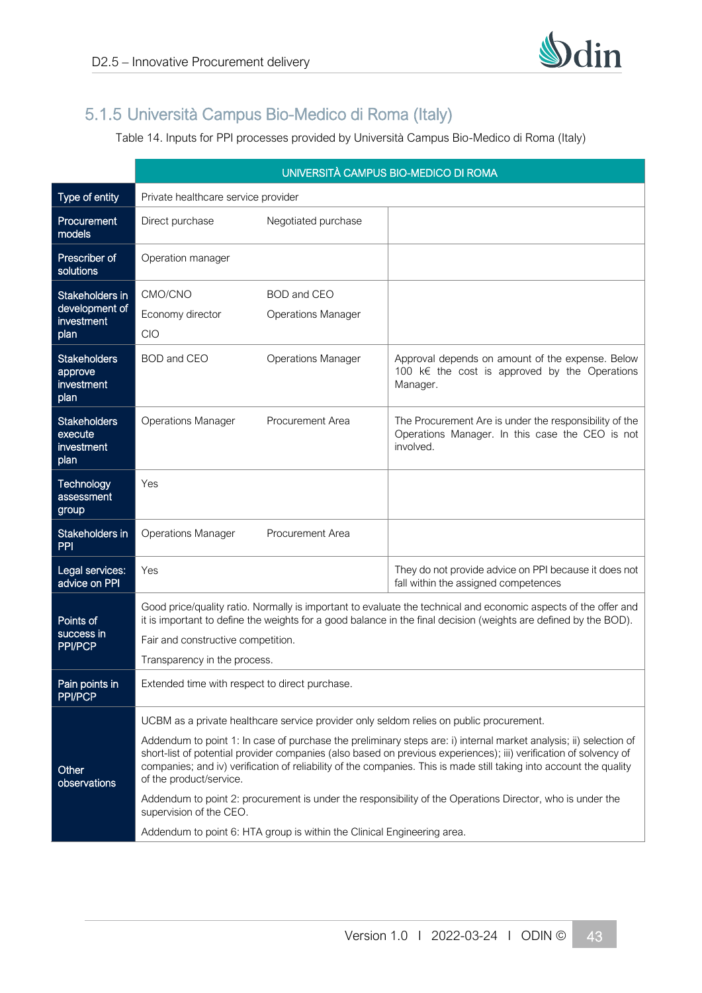

## <span id="page-42-0"></span>5.1.5 Università Campus Bio-Medico di Roma (Italy)

Table 14. Inputs for PPI processes provided by Università Campus Bio-Medico di Roma (Italy)

|                                                      | UNIVERSITÀ CAMPUS BIO-MEDICO DI ROMA                                                                                                                                                                                                                                                                                                                                                     |                                                                         |                                                                                                                        |
|------------------------------------------------------|------------------------------------------------------------------------------------------------------------------------------------------------------------------------------------------------------------------------------------------------------------------------------------------------------------------------------------------------------------------------------------------|-------------------------------------------------------------------------|------------------------------------------------------------------------------------------------------------------------|
| Type of entity                                       | Private healthcare service provider                                                                                                                                                                                                                                                                                                                                                      |                                                                         |                                                                                                                        |
| Procurement<br>models                                | Direct purchase                                                                                                                                                                                                                                                                                                                                                                          | Negotiated purchase                                                     |                                                                                                                        |
| Prescriber of<br>solutions                           | Operation manager                                                                                                                                                                                                                                                                                                                                                                        |                                                                         |                                                                                                                        |
| Stakeholders in                                      | CMO/CNO                                                                                                                                                                                                                                                                                                                                                                                  | BOD and CEO                                                             |                                                                                                                        |
| development of<br>investment                         | Economy director                                                                                                                                                                                                                                                                                                                                                                         | <b>Operations Manager</b>                                               |                                                                                                                        |
| plan                                                 | CIO                                                                                                                                                                                                                                                                                                                                                                                      |                                                                         |                                                                                                                        |
| <b>Stakeholders</b><br>approve<br>investment<br>plan | <b>BOD and CEO</b>                                                                                                                                                                                                                                                                                                                                                                       | <b>Operations Manager</b>                                               | Approval depends on amount of the expense. Below<br>100 k€ the cost is approved by the Operations<br>Manager.          |
| <b>Stakeholders</b><br>execute<br>investment<br>plan | <b>Operations Manager</b>                                                                                                                                                                                                                                                                                                                                                                | Procurement Area                                                        | The Procurement Are is under the responsibility of the<br>Operations Manager. In this case the CEO is not<br>involved. |
| Technology<br>assessment<br>group                    | Yes                                                                                                                                                                                                                                                                                                                                                                                      |                                                                         |                                                                                                                        |
| Stakeholders in<br><b>PPI</b>                        | <b>Operations Manager</b>                                                                                                                                                                                                                                                                                                                                                                | Procurement Area                                                        |                                                                                                                        |
| Legal services:<br>advice on PPI                     | Yes                                                                                                                                                                                                                                                                                                                                                                                      |                                                                         | They do not provide advice on PPI because it does not<br>fall within the assigned competences                          |
| Points of<br>success in<br><b>PPI/PCP</b>            | Good price/quality ratio. Normally is important to evaluate the technical and economic aspects of the offer and<br>it is important to define the weights for a good balance in the final decision (weights are defined by the BOD).<br>Fair and constructive competition.<br>Transparency in the process.                                                                                |                                                                         |                                                                                                                        |
| Pain points in<br><b>PPI/PCP</b>                     | Extended time with respect to direct purchase.                                                                                                                                                                                                                                                                                                                                           |                                                                         |                                                                                                                        |
|                                                      |                                                                                                                                                                                                                                                                                                                                                                                          |                                                                         | UCBM as a private healthcare service provider only seldom relies on public procurement.                                |
| Other<br>observations                                | Addendum to point 1: In case of purchase the preliminary steps are: i) internal market analysis; ii) selection of<br>short-list of potential provider companies (also based on previous experiences); iii) verification of solvency of<br>companies; and iv) verification of reliability of the companies. This is made still taking into account the quality<br>of the product/service. |                                                                         |                                                                                                                        |
|                                                      | supervision of the CEO.                                                                                                                                                                                                                                                                                                                                                                  |                                                                         | Addendum to point 2: procurement is under the responsibility of the Operations Director, who is under the              |
|                                                      |                                                                                                                                                                                                                                                                                                                                                                                          | Addendum to point 6: HTA group is within the Clinical Engineering area. |                                                                                                                        |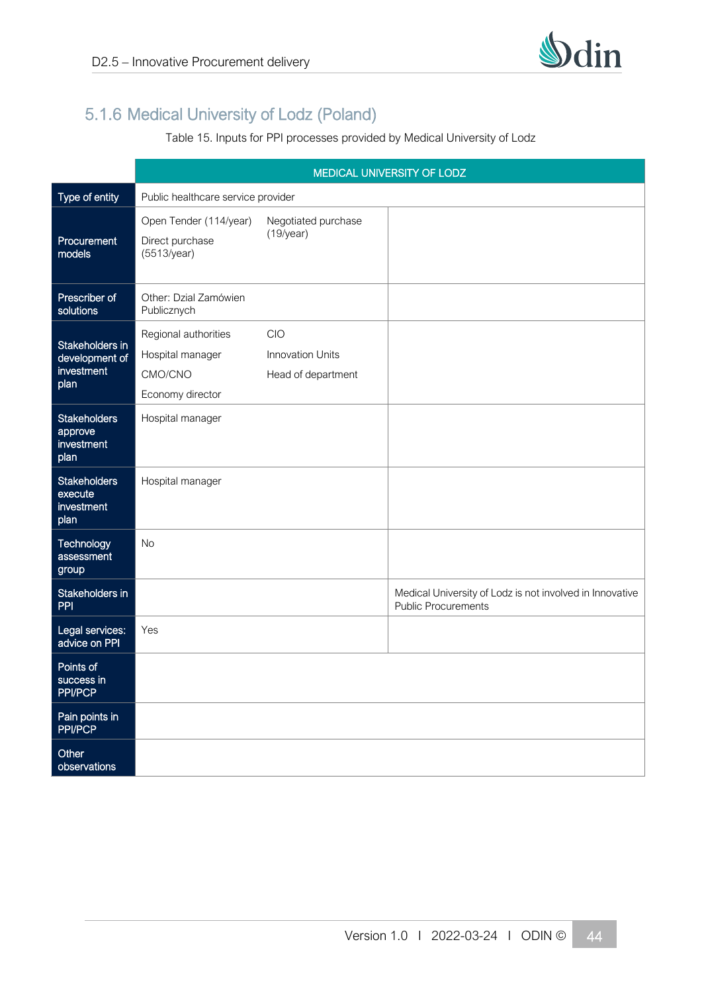

## <span id="page-43-0"></span>5.1.6 Medical University of Lodz (Poland)

Table 15. Inputs for PPI processes provided by Medical University of Lodz

|                                                         | MEDICAL UNIVERSITY OF LODZ                                              |                                                             |                                                                                        |
|---------------------------------------------------------|-------------------------------------------------------------------------|-------------------------------------------------------------|----------------------------------------------------------------------------------------|
| Type of entity                                          | Public healthcare service provider                                      |                                                             |                                                                                        |
| Procurement<br>models                                   | Open Tender (114/year)<br>Direct purchase<br>(5513/year)                | Negotiated purchase<br>$(19$ /year)                         |                                                                                        |
| Prescriber of<br>solutions                              | Other: Dzial Zamówien<br>Publicznych                                    |                                                             |                                                                                        |
| Stakeholders in<br>development of<br>investment<br>plan | Regional authorities<br>Hospital manager<br>CMO/CNO<br>Economy director | <b>CIO</b><br><b>Innovation Units</b><br>Head of department |                                                                                        |
| <b>Stakeholders</b><br>approve<br>investment<br>plan    | Hospital manager                                                        |                                                             |                                                                                        |
| <b>Stakeholders</b><br>execute<br>investment<br>plan    | Hospital manager                                                        |                                                             |                                                                                        |
| Technology<br>assessment<br>group                       | <b>No</b>                                                               |                                                             |                                                                                        |
| Stakeholders in<br>PPI                                  |                                                                         |                                                             | Medical University of Lodz is not involved in Innovative<br><b>Public Procurements</b> |
| Legal services:<br>advice on PPI                        | Yes                                                                     |                                                             |                                                                                        |
| Points of<br>success in<br><b>PPI/PCP</b>               |                                                                         |                                                             |                                                                                        |
| Pain points in<br>PPI/PCP                               |                                                                         |                                                             |                                                                                        |
| Other<br>observations                                   |                                                                         |                                                             |                                                                                        |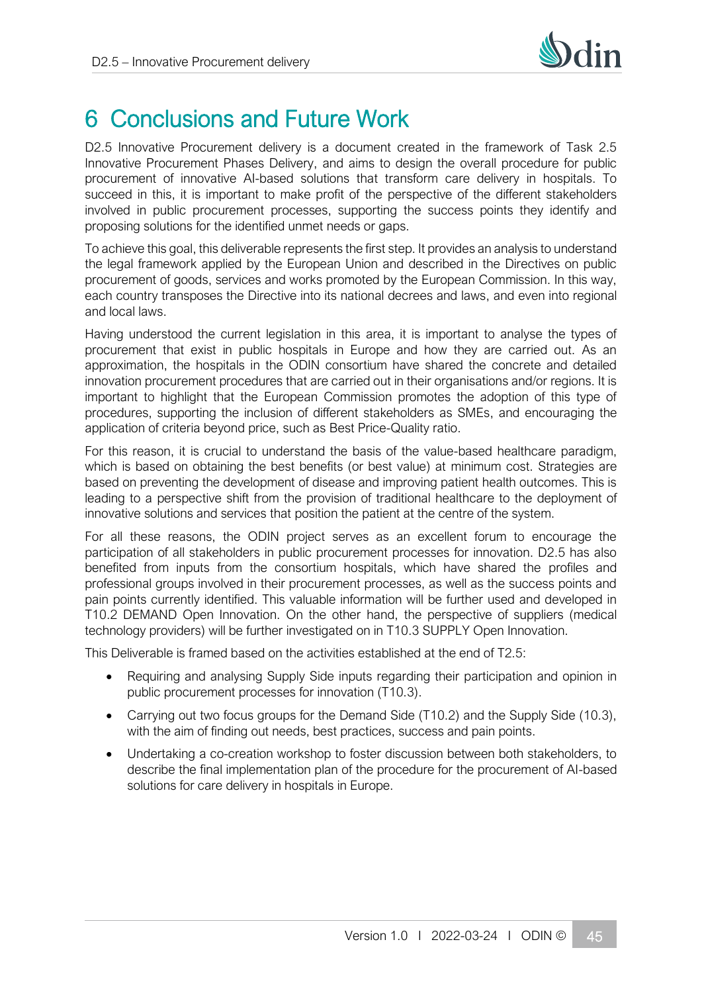

## <span id="page-44-0"></span>6 Conclusions and Future Work

D2.5 Innovative Procurement delivery is a document created in the framework of Task 2.5 Innovative Procurement Phases Delivery, and aims to design the overall procedure for public procurement of innovative AI-based solutions that transform care delivery in hospitals. To succeed in this, it is important to make profit of the perspective of the different stakeholders involved in public procurement processes, supporting the success points they identify and proposing solutions for the identified unmet needs or gaps.

To achieve this goal, this deliverable represents the first step. It provides an analysis to understand the legal framework applied by the European Union and described in the Directives on public procurement of goods, services and works promoted by the European Commission. In this way, each country transposes the Directive into its national decrees and laws, and even into regional and local laws.

Having understood the current legislation in this area, it is important to analyse the types of procurement that exist in public hospitals in Europe and how they are carried out. As an approximation, the hospitals in the ODIN consortium have shared the concrete and detailed innovation procurement procedures that are carried out in their organisations and/or regions. It is important to highlight that the European Commission promotes the adoption of this type of procedures, supporting the inclusion of different stakeholders as SMEs, and encouraging the application of criteria beyond price, such as Best Price-Quality ratio.

For this reason, it is crucial to understand the basis of the value-based healthcare paradigm, which is based on obtaining the best benefits (or best value) at minimum cost. Strategies are based on preventing the development of disease and improving patient health outcomes. This is leading to a perspective shift from the provision of traditional healthcare to the deployment of innovative solutions and services that position the patient at the centre of the system.

For all these reasons, the ODIN project serves as an excellent forum to encourage the participation of all stakeholders in public procurement processes for innovation. D2.5 has also benefited from inputs from the consortium hospitals, which have shared the profiles and professional groups involved in their procurement processes, as well as the success points and pain points currently identified. This valuable information will be further used and developed in T10.2 DEMAND Open Innovation. On the other hand, the perspective of suppliers (medical technology providers) will be further investigated on in T10.3 SUPPLY Open Innovation.

This Deliverable is framed based on the activities established at the end of T2.5:

- Requiring and analysing Supply Side inputs regarding their participation and opinion in public procurement processes for innovation (T10.3).
- Carrying out two focus groups for the Demand Side (T10.2) and the Supply Side (10.3), with the aim of finding out needs, best practices, success and pain points.
- Undertaking a co-creation workshop to foster discussion between both stakeholders, to describe the final implementation plan of the procedure for the procurement of AI-based solutions for care delivery in hospitals in Europe.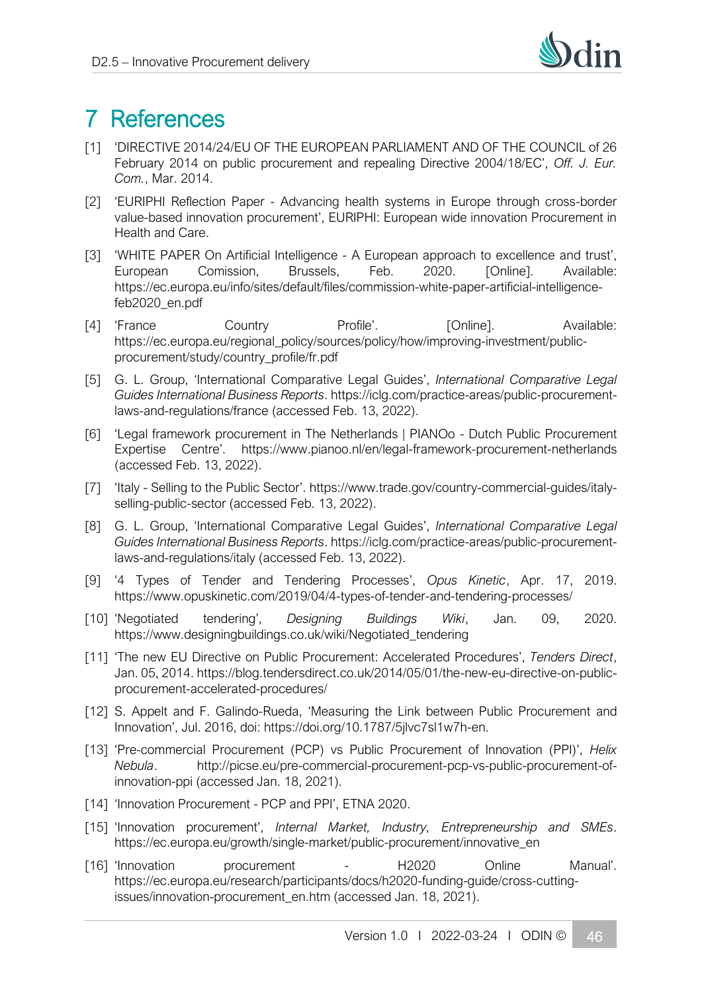

# <span id="page-45-0"></span>7 References

- [1] 'DIRECTIVE 2014/24/EU OF THE EUROPEAN PARLIAMENT AND OF THE COUNCIL of 26 February 2014 on public procurement and repealing Directive 2004/18/EC', *Off. J. Eur. Com.*, Mar. 2014.
- [2] 'EURIPHI Reflection Paper Advancing health systems in Europe through cross-border value-based innovation procurement', EURIPHI: European wide innovation Procurement in Health and Care.
- [3] 'WHITE PAPER On Artificial Intelligence A European approach to excellence and trust', European Comission, Brussels, Feb. 2020. [Online]. Available: https://ec.europa.eu/info/sites/default/files/commission-white-paper-artificial-intelligencefeb2020\_en.pdf
- [4] 'France Country Profile'. [Online]. Available: https://ec.europa.eu/regional\_policy/sources/policy/how/improving-investment/publicprocurement/study/country\_profile/fr.pdf
- [5] G. L. Group, 'International Comparative Legal Guides', *International Comparative Legal Guides International Business Reports*. https://iclg.com/practice-areas/public-procurementlaws-and-regulations/france (accessed Feb. 13, 2022).
- [6] 'Legal framework procurement in The Netherlands | PIANOo Dutch Public Procurement Expertise Centre'. https://www.pianoo.nl/en/legal-framework-procurement-netherlands (accessed Feb. 13, 2022).
- [7] 'Italy Selling to the Public Sector'. https://www.trade.gov/country-commercial-guides/italyselling-public-sector (accessed Feb. 13, 2022).
- [8] G. L. Group, 'International Comparative Legal Guides', *International Comparative Legal Guides International Business Reports*. https://iclg.com/practice-areas/public-procurementlaws-and-regulations/italy (accessed Feb. 13, 2022).
- [9] '4 Types of Tender and Tendering Processes', *Opus Kinetic*, Apr. 17, 2019. https://www.opuskinetic.com/2019/04/4-types-of-tender-and-tendering-processes/
- [10] 'Negotiated tendering', *Designing Buildings Wiki*, Jan. 09, 2020. https://www.designingbuildings.co.uk/wiki/Negotiated\_tendering
- [11] 'The new EU Directive on Public Procurement: Accelerated Procedures', *Tenders Direct*, Jan. 05, 2014. https://blog.tendersdirect.co.uk/2014/05/01/the-new-eu-directive-on-publicprocurement-accelerated-procedures/
- [12] S. Appelt and F. Galindo-Rueda, 'Measuring the Link between Public Procurement and Innovation', Jul. 2016, doi: https://doi.org/10.1787/5jlvc7sl1w7h-en.
- [13] 'Pre-commercial Procurement (PCP) vs Public Procurement of Innovation (PPI)', *Helix Nebula*. http://picse.eu/pre-commercial-procurement-pcp-vs-public-procurement-ofinnovation-ppi (accessed Jan. 18, 2021).
- [14] 'Innovation Procurement PCP and PPI', ETNA 2020.
- [15] 'Innovation procurement', *Internal Market, Industry, Entrepreneurship and SMEs*. https://ec.europa.eu/growth/single-market/public-procurement/innovative\_en
- [16] 'Innovation brocurement H2020 Online Manual'. https://ec.europa.eu/research/participants/docs/h2020-funding-guide/cross-cuttingissues/innovation-procurement en.htm (accessed Jan. 18, 2021).